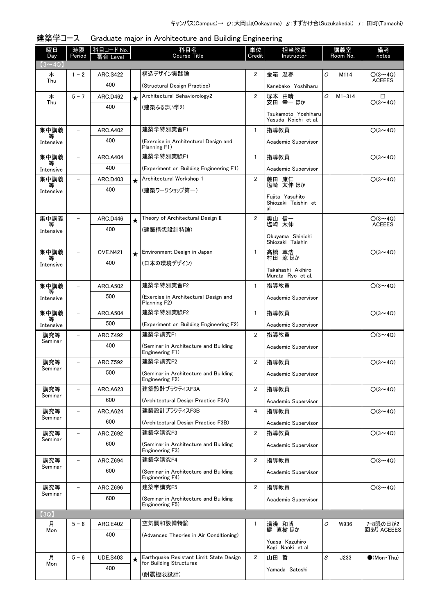| 曜日<br>Day      | 時限<br>Period             | 科目コード No.<br>≸台 Level |         | 科目名<br>Course Title                                      | 単位<br>Credit   | 担当教員<br>Instructor                   | 講義室<br>Room No. |            | 備考<br>notes                     |
|----------------|--------------------------|-----------------------|---------|----------------------------------------------------------|----------------|--------------------------------------|-----------------|------------|---------------------------------|
| $(3 \sim 4Q)$  |                          |                       |         |                                                          |                |                                      |                 |            |                                 |
| 木<br>Thu       | $1 - 2$                  | <b>ARC.S422</b>       |         | 構造デザイン実践論                                                | 2              | 金箱 温春                                | 0               | M114       | $O(3 \sim 4Q)$<br><b>ACEEES</b> |
|                |                          | 400                   |         | (Structural Design Practice)                             |                | Kanebako Yoshiharu                   |                 |            |                                 |
| 木<br>Thu       | $5 - 7$                  | <b>ARC.D462</b>       | $\star$ | Architectural Behaviorology2                             | $\overline{2}$ | 塚本 由晴<br>安田 幸一 ほか                    | 0               | $M1 - 314$ | □<br>$O(3 \sim 4Q)$             |
|                |                          | 400                   |         | (建築ふるまい学2)                                               |                | Tsukamoto Yoshiharu                  |                 |            |                                 |
|                |                          |                       |         |                                                          |                | Yasuda Koichi et al.                 |                 |            |                                 |
| 集中講義<br>等      | $\qquad \qquad -$        | <b>ARC.A402</b>       |         | 建築学特別実習F1                                                | $\mathbf{1}$   | 指導教員                                 |                 |            | $O(3 \sim 4Q)$                  |
| Intensive      |                          | 400                   |         | (Exercise in Architectural Design and<br>Planning F1)    |                | Academic Supervisor                  |                 |            |                                 |
| 集中講義           |                          | <b>ARC.A404</b>       |         | 建築学特別実験F1                                                | $\mathbf{1}$   | 指導教員                                 |                 |            | $O(3 \sim 4Q)$                  |
| Intensive      |                          | 400                   |         | (Experiment on Building Engineering F1)                  |                | Academic Supervisor                  |                 |            |                                 |
| 集中講義<br>等      |                          | ARC.D403              | $\star$ | Architectural Workshop 1                                 | $\overline{2}$ | 藤田 康仁<br>塩崎 太伸 ほか                    |                 |            | $O(3 \sim 4Q)$                  |
| Intensive      |                          | 400                   |         | (建築ワークショップ第一)                                            |                | Fuiita Yasuhito                      |                 |            |                                 |
|                |                          |                       |         |                                                          |                | Shiozaki Taishin et<br>al.           |                 |            |                                 |
| 集中講義           |                          | ARC.D446              |         | Theory of Architectural Design II                        | $\overline{2}$ | 奥山 信一                                |                 |            | $O(3 \sim 4Q)$                  |
| Intensive      |                          | 400                   |         | (建築構想設計特論)                                               |                | 塩崎 太伸                                |                 |            | <b>ACEEES</b>                   |
|                |                          |                       |         |                                                          |                | Okuyama Shinichi<br>Shiozaki Taishin |                 |            |                                 |
| 集中講義<br>等      | $\qquad \qquad -$        | <b>CVE.N421</b>       | $\star$ | Environment Design in Japan                              | $\mathbf{1}$   | 髙橋 章浩<br>村田 涼ほか                      |                 |            | $O(3 \sim 4Q)$                  |
| Intensive      |                          | 400                   |         | (日本の環境デザイン)                                              |                | Takahashi Akihiro                    |                 |            |                                 |
|                |                          |                       |         |                                                          |                | Murata Ryo et al.                    |                 |            |                                 |
| 集中講義<br>等      |                          | <b>ARC.A502</b>       |         | 建築学特別実習F2                                                | $\mathbf{1}$   | 指導教員                                 |                 |            | $O(3 \sim 4Q)$                  |
| Intensive      |                          | 500                   |         | (Exercise in Architectural Design and<br>Planning F2)    |                | Academic Supervisor                  |                 |            |                                 |
| 集中講義           | $\qquad \qquad -$        | <b>ARC.A504</b>       |         | 建築学特別実験F2                                                | $\mathbf{1}$   | 指導教員                                 |                 |            | $O(3 \sim 4Q)$                  |
| 等<br>Intensive |                          | 500                   |         | (Experiment on Building Engineering F2)                  |                | Academic Supervisor                  |                 |            |                                 |
| 講究等<br>Seminar | $\overline{\phantom{a}}$ | <b>ARC.Z492</b>       |         | 建築学講究F1                                                  | $\overline{2}$ | 指導教員                                 |                 |            | $O(3 \sim 4Q)$                  |
|                |                          | 400                   |         | (Seminar in Architecture and Building<br>Engineering F1) |                | Academic Supervisor                  |                 |            |                                 |
| 講究等            |                          | ARC.Z592              |         | 建築学講究F2                                                  | $\overline{2}$ | 指導教員                                 |                 |            | $O(3 \sim 4Q)$                  |
| Seminar        |                          | 500                   |         | (Seminar in Architecture and Building<br>Engineering F2) |                | Academic Supervisor                  |                 |            |                                 |
| 講究等            |                          | ARC.A623              |         | 建築設計プラクティスF3A                                            | 2              | 指導教員                                 |                 |            | $O(3 \sim 4Q)$                  |
| Seminar        |                          | 600                   |         | (Architectural Design Practice F3A)                      |                | Academic Supervisor                  |                 |            |                                 |
| 講究等<br>Seminar |                          | <b>ARC.A624</b>       |         | 建築設計プラクティスF3B                                            | 4              | 指導教員                                 |                 |            | $O(3 \sim 4Q)$                  |
|                |                          | 600                   |         | (Architectural Design Practice F3B)                      |                | Academic Supervisor                  |                 |            |                                 |
| 講究等<br>Seminar |                          | ARC.Z692              |         | 建築学講究F3                                                  | $\overline{2}$ | 指導教員                                 |                 |            | $O(3 \sim 4Q)$                  |
|                |                          | 600                   |         | (Seminar in Architecture and Building<br>Engineering F3) |                | Academic Supervisor                  |                 |            |                                 |
| 講究等            | $\overline{\phantom{0}}$ | ARC.Z694              |         | 建築学講究F4                                                  | $\overline{2}$ | 指導教員                                 |                 |            | $O(3 \sim 4Q)$                  |
| Seminar        |                          | 600                   |         | (Seminar in Architecture and Building<br>Engineering F4) |                | Academic Supervisor                  |                 |            |                                 |
| 講究等            | $\qquad \qquad -$        | ARC.Z696              |         | 建築学講究F5                                                  | $\overline{2}$ | 指導教員                                 |                 |            | $O(3 \sim 4Q)$                  |
| Seminar        |                          | 600                   |         | (Seminar in Architecture and Building                    |                | Academic Supervisor                  |                 |            |                                 |
| (3Q)           |                          |                       |         | Engineering F5)                                          |                |                                      |                 |            |                                 |
| 月              | $5 - 6$                  | <b>ARC.E402</b>       |         | 空気調和設備特論                                                 | 1              | 湯淺 和博                                | 0               | W936       | 7-8限の日が2                        |
| Mon            |                          | 400                   |         | (Advanced Theories in Air Conditioning)                  |                | 鍵 直樹 ほか                              |                 |            | 回あり ACEEES                      |
|                |                          |                       |         |                                                          |                | Yuasa Kazuhiro<br>Kagi Naoki et al.  |                 |            |                                 |
| 月              | $5 - 6$                  | <b>UDE.S403</b>       | $\star$ | Earthquake Resistant Limit State Design                  | $\overline{2}$ | 山田 哲                                 | S               | J233       | $(Mon$ Thu)                     |
| Mon            |                          | 400                   |         | for Building Structures                                  |                | Yamada Satoshi                       |                 |            |                                 |
|                |                          |                       |         | (耐震極限設計)                                                 |                |                                      |                 |            |                                 |

| 建築学コース Graduate major in Architecture and Building Engineering |
|----------------------------------------------------------------|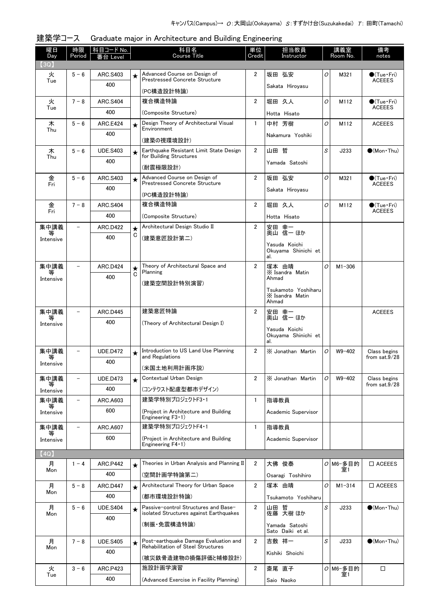| 曜日<br>Day      | 時限<br>Period             | 科目コード No.<br>番台 Level  |              | 科目名<br><b>Course Title</b>                                            | 単位<br>Credit   | 担当教員<br>Instructor                  |                | 講義室<br>Room No.  | 備考<br>notes                            |
|----------------|--------------------------|------------------------|--------------|-----------------------------------------------------------------------|----------------|-------------------------------------|----------------|------------------|----------------------------------------|
| (3Q)           |                          |                        |              |                                                                       |                |                                     |                |                  |                                        |
| 火<br>Tue       | $5 - 6$                  | ARC.S403               | $\star$      | Advanced Course on Design of<br><b>Prestressed Concrete Structure</b> | $\overline{2}$ | 坂田 弘安                               | O              | M321             | $\bullet$ (Tue•Fri)<br><b>ACEEES</b>   |
|                |                          | 400                    |              | (PC構造設計特論)                                                            |                | Sakata Hiroyasu                     |                |                  |                                        |
| 火              | $7 - 8$                  | <b>ARC.S404</b>        |              | 複合構造特論                                                                | $\overline{2}$ | 堀田 久人                               | O              | M112             | $\bullet$ (Tue•Fri)                    |
| Tue            |                          | 400                    |              | (Composite Structure)                                                 |                | Hotta Hisato                        |                |                  | <b>ACEEES</b>                          |
| 木              | $5 - 6$                  | <b>ARC.E424</b>        | $\star$      | Design Theory of Architectural Visual<br>Environment                  | $\mathbf{1}$   | 中村 芳樹                               | 0              | M112             | <b>ACEEES</b>                          |
| Thu            |                          | 400                    |              |                                                                       |                | Nakamura Yoshiki                    |                |                  |                                        |
|                |                          |                        |              | (建築の視環境設計)<br>Earthquake Resistant Limit State Design                 | $\overline{2}$ | 山田 哲                                | S              |                  | $(Mon\cdot Thu)$                       |
| 木<br>Thu       | $5 - 6$                  | <b>UDE.S403</b>        | $\star$      | for Building Structures                                               |                |                                     |                | J233             |                                        |
|                |                          | 400                    |              | (耐震極限設計)                                                              |                | Yamada Satoshi                      |                |                  |                                        |
| 金              | $5 - 6$                  | ARC.S403               | $\star$      | Advanced Course on Design of<br><b>Prestressed Concrete Structure</b> | $\overline{2}$ | 坂田 弘安                               | $\overline{O}$ | M321             | $\bullet$ (Tue•Fri)<br><b>ACEEES</b>   |
| Fri            |                          | 400                    |              |                                                                       |                | Sakata Hiroyasu                     |                |                  |                                        |
|                | $7 - 8$                  |                        |              | (PC構造設計特論)<br>複合構造特論                                                  | $\overline{2}$ | 堀田 久人                               | $\overline{O}$ | M112             |                                        |
| 金<br>Fri       |                          | <b>ARC.S404</b><br>400 |              |                                                                       |                |                                     |                |                  | $\bullet$ (Tue · Fri)<br><b>ACEEES</b> |
|                |                          |                        |              | (Composite Structure)                                                 |                | Hotta Hisato                        |                |                  |                                        |
| 集中講義           |                          | <b>ARC.D422</b>        | $\star$<br>C | Architectural Design Studio II                                        | $\overline{2}$ | 安田 幸一<br>奥山 信一 ほか                   |                |                  |                                        |
| Intensive      |                          | 400                    |              | (建築意匠設計第二)                                                            |                | Yasuda Koichi                       |                |                  |                                        |
|                |                          |                        |              |                                                                       |                | Okuyama Shinichi et<br>al.          |                |                  |                                        |
| 集中講義           |                          | <b>ARC.D424</b>        | $\star$      | Theory of Architectural Space and                                     | $\overline{2}$ | 塚本 由晴                               | O              | $M1 - 306$       |                                        |
| Intensive      |                          | 400                    | С            | Planning                                                              |                | X Isandra Matin<br>Ahmad            |                |                  |                                        |
|                |                          |                        |              | (建築空間設計特別演習)                                                          |                | Tsukamoto Yoshiharu                 |                |                  |                                        |
|                |                          |                        |              |                                                                       |                | X Isandra Matin                     |                |                  |                                        |
| 集中講義           | $\qquad \qquad -$        | <b>ARC.D445</b>        |              | 建築意匠特論                                                                | $\overline{2}$ | Ahmad                               |                |                  | <b>ACEEES</b>                          |
| 等              |                          | 400                    |              | (Theory of Architectural Design I)                                    |                | 安田 幸一<br>奥山 信一 ほか                   |                |                  |                                        |
| Intensive      |                          |                        |              |                                                                       |                | Yasuda Koichi                       |                |                  |                                        |
|                |                          |                        |              |                                                                       |                | Okuyama Shinichi et<br>al.          |                |                  |                                        |
| 集中講義           |                          | <b>UDE.D472</b>        | $\star$      | Introduction to US Land Use Planning                                  | $\overline{2}$ | X Jonathan Martin                   | 0              | $W9 - 402$       | Class begins                           |
| 等<br>Intensive |                          | 400                    |              | and Regulations                                                       |                |                                     |                |                  | from $sat.9/28$                        |
|                |                          |                        |              | (米国土地利用計画序説)<br>Contextual Urban Design                               |                |                                     |                |                  |                                        |
| 集中講義<br>等      | $\overline{\phantom{a}}$ | <b>UDE.D473</b>        | $\star$      |                                                                       | $\overline{2}$ | X Jonathan Martin                   | 0              | $W9 - 402$       | Class begins<br>from $sat.9/28$        |
| Intensive      |                          | 400                    |              | (コンテクスト配慮型都市デザイン)<br>建築学特別プロジェクトF3·1                                  |                |                                     |                |                  |                                        |
| 集中講義<br>等      | $\qquad \qquad -$        | ARC.A603               |              |                                                                       | 1              | 指導教員                                |                |                  |                                        |
| Intensive      |                          | 600                    |              | (Project in Architecture and Building<br>Engineering $F3 \cdot 1$ )   |                | Academic Supervisor                 |                |                  |                                        |
| 集中講義           | $\overline{\phantom{0}}$ | ARC.A607               |              | 建築学特別プロジェクトF4・1                                                       | $\mathbf{1}$   | 指導教員                                |                |                  |                                        |
| 等<br>Intensive |                          | 600                    |              | (Project in Architecture and Building<br>Engineering F4 · 1)          |                | Academic Supervisor                 |                |                  |                                        |
| (4Q)           |                          |                        |              |                                                                       |                |                                     |                |                  |                                        |
| 月              | $1 - 4$                  | <b>ARC.P442</b>        | $\star$      | Theories in Urban Analysis and Planning II                            | $\overline{2}$ | 大佛 俊泰                               |                | $O$ M6-多目的       | $\square$ ACEEES                       |
| Mon            |                          | 400                    |              | (空間計画学特論第二)                                                           |                | Osaragi Toshihiro                   |                | 室1               |                                        |
| 月              | $5 - 8$                  | <b>ARC.D447</b>        | $\star$      | Architectural Theory for Urban Space                                  | $\overline{2}$ | 塚本 由晴                               | O              | $M1 - 314$       | $\square$ ACEEES                       |
| Mon            |                          | 400                    |              | (都市環境設計特論)                                                            |                | Tsukamoto Yoshiharu                 |                |                  |                                        |
| 月              | $5 - 6$                  | <b>UDE.S404</b>        | $\star$      | Passive-control Structures and Base-                                  | $\overline{2}$ |                                     | S              | J233             | $\bullet$ (Mon Thu)                    |
| Mon            |                          | 400                    |              | isolated Structures against Earthquakes                               |                | 山田 哲<br>佐藤 大樹 ほか                    |                |                  |                                        |
|                |                          |                        |              | (制振・免震構造特論)                                                           |                | Yamada Satoshi<br>Sato Daiki et al. |                |                  |                                        |
| 月              | $7 - 8$                  | <b>UDE.S405</b>        |              | Post-earthquake Damage Evaluation and                                 | $\overline{2}$ | 吉敷 祥一                               | S              | J233             | $\bullet$ (Mon Thu)                    |
| Mon            |                          | 400                    | $\star$      | Rehabilitation of Steel Structures                                    |                |                                     |                |                  |                                        |
|                |                          |                        |              | (被災鉄骨造建物の損傷評価と補修設計)                                                   |                | Kishiki Shoichi                     |                |                  |                                        |
| 火              | $3 - 6$                  | <b>ARC.P423</b>        |              | 施設計画学演習                                                               | $\overline{2}$ | 斎尾 直子                               |                | $O$ M6-多目的<br>室1 | $\Box$                                 |
| Tue            |                          | 400                    |              | (Advanced Exercise in Facility Planning)                              |                | Saio Naoko                          |                |                  |                                        |

## 建築学コース Graduate major in Architecture and Building Engineering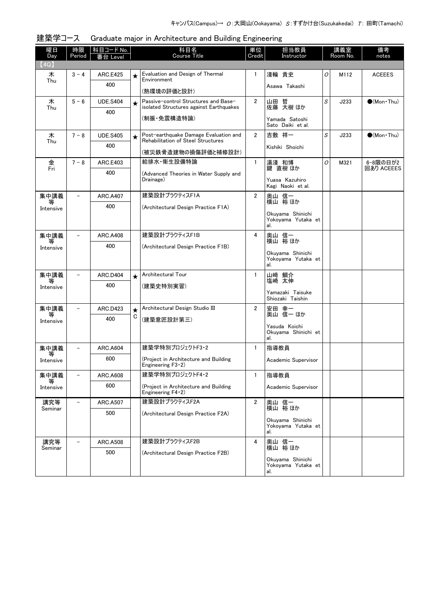| 曜日<br>Day      | 時限<br>Period             | 科目コード No.<br>Level     |         | 科目名<br>Course Title                                                             | 単位<br>Credit   | 担当教員<br>Instructor                            |                | 講義室<br>Room No. | 備考<br>notes            |
|----------------|--------------------------|------------------------|---------|---------------------------------------------------------------------------------|----------------|-----------------------------------------------|----------------|-----------------|------------------------|
| (4Q)           |                          |                        |         |                                                                                 |                |                                               |                |                 |                        |
| 木              | $3 - 4$                  | <b>ARC.E425</b>        | ★       | Evaluation and Design of Thermal<br>Environment                                 | 1              | 淺輪 貴史                                         | O              | M112            | <b>ACEEES</b>          |
| Thu            |                          | 400                    |         | (熱環境の評価と設計)                                                                     |                | Asawa Takashi                                 |                |                 |                        |
| 木<br>Thu       | $5 - 6$                  | <b>UDE.S404</b>        | $\star$ | Passive-control Structures and Base-<br>isolated Structures against Earthquakes | $\overline{2}$ | 山田 哲<br>佐藤 大樹 ほか                              | S              | J233            | $\bullet$ (Mon Thu)    |
|                |                          | 400                    |         | (制振・免震構造特論)                                                                     |                | Yamada Satoshi<br>Sato Daiki et al.           |                |                 |                        |
| 木<br>Thu       | $7 - 8$                  | <b>UDE.S405</b>        | $\star$ | Post-earthquake Damage Evaluation and<br>Rehabilitation of Steel Structures     | $\overline{2}$ | 吉敷 祥一                                         | S              | J233            | $(Mon\cdot Thu)$       |
|                |                          | 400                    |         | (被災鉄骨造建物の損傷評価と補修設計)                                                             |                | Kishiki Shoichi                               |                |                 |                        |
| 金<br>Fri       | $7 - 8$                  | <b>ARC.E403</b>        |         | 給排水 衛生設備特論                                                                      | $\mathbf{1}$   | 湯淺 和博<br>鍵 直樹 ほか                              | $\overline{O}$ | M321            | 6-8限の日が2<br>回あり ACEEES |
|                |                          | 400                    |         | (Advanced Theories in Water Supply and<br>Drainage)                             |                | Yuasa Kazuhiro                                |                |                 |                        |
|                | $\overline{\phantom{0}}$ |                        |         | 建築設計プラクティスF1A                                                                   | $\overline{2}$ | Kagi Naoki et al.                             |                |                 |                        |
| 集中講義<br>等      |                          | <b>ARC.A407</b><br>400 |         | (Architectural Design Practice F1A)                                             |                | 奥山 信一<br>横山 裕ほか                               |                |                 |                        |
| Intensive      |                          |                        |         |                                                                                 |                | Okuyama Shinichi<br>Yokovama Yutaka et<br>al. |                |                 |                        |
| 集中講義           |                          | <b>ARC.A408</b>        |         | 建築設計プラクティスF1B                                                                   | 4              | 奥山 信一<br>横山 裕ほか                               |                |                 |                        |
| 等<br>Intensive |                          | 400                    |         | (Architectural Design Practice F1B)                                             |                | Okuyama Shinichi                              |                |                 |                        |
|                |                          |                        |         |                                                                                 |                | Yokoyama Yutaka et<br>al.                     |                |                 |                        |
| 集中講義           |                          | ARC.D404               | $\star$ | Architectural Tour                                                              | $\mathbf{1}$   | 山﨑 鯛介<br>塩崎 太伸                                |                |                 |                        |
| 等<br>Intensive |                          | 400                    |         | (建築史特別実習)                                                                       |                |                                               |                |                 |                        |
|                |                          |                        |         |                                                                                 |                | Yamazaki Taisuke<br>Shiozaki Taishin          |                |                 |                        |
| 集中講義           | $\qquad \qquad -$        | <b>ARC.D423</b>        | $\star$ | Architectural Design Studio III                                                 | $\overline{2}$ | 安田 幸一<br>奥山 信一 ほか                             |                |                 |                        |
| 等<br>Intensive |                          | 400                    | C       | (建築意匠設計第三)                                                                      |                |                                               |                |                 |                        |
|                |                          |                        |         |                                                                                 |                | Yasuda Koichi<br>Okuyama Shinichi et<br>al.   |                |                 |                        |
| 集中講義           | $\overline{\phantom{0}}$ | <b>ARC.A604</b>        |         | 建築学特別プロジェクトF3・2                                                                 | $\mathbf{1}$   | 指導教員                                          |                |                 |                        |
| 等<br>Intensive |                          | 600                    |         | (Project in Architecture and Building<br>Engineering $F3 \cdot 2$ )             |                | Academic Supervisor                           |                |                 |                        |
| 集中講義<br>等      | $\overline{\phantom{0}}$ | <b>ARC.A608</b>        |         | 建築学特別プロジェクトF4・2                                                                 | $\mathbf{1}$   | 指導教員                                          |                |                 |                        |
| Intensive      |                          | 600                    |         | (Project in Architecture and Building<br>Engineering $F4 \cdot 2$ )             |                | Academic Supervisor                           |                |                 |                        |
| 講究等            |                          | <b>ARC.A507</b>        |         | 建築設計プラクティスF2A                                                                   | $\overline{2}$ | 奥山 信一<br>横山 裕ほか                               |                |                 |                        |
| Seminar        |                          | 500                    |         | (Architectural Design Practice F2A)                                             |                |                                               |                |                 |                        |
|                |                          |                        |         |                                                                                 |                | Okuyama Shinichi<br>Yokoyama Yutaka et<br>al. |                |                 |                        |
| 講究等            |                          | <b>ARC.A508</b>        |         | 建築設計プラクティスF2B                                                                   | 4              | 奥山 信一<br>横山 裕ほか                               |                |                 |                        |
| Seminar        |                          | 500                    |         | (Architectural Design Practice F2B)                                             |                | Okuyama Shinichi                              |                |                 |                        |
|                |                          |                        |         |                                                                                 |                | Yokoyama Yutaka et<br>al.                     |                |                 |                        |

建築学コース Graduate major in Architecture and Building Engineering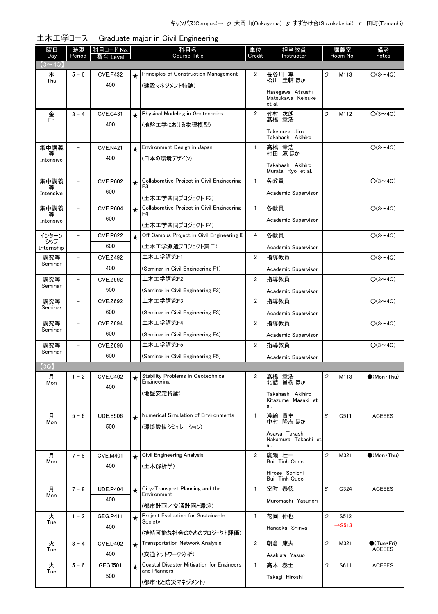| <b>Course Title</b><br>Credit<br>Day<br>Period<br>Instructor<br>番台 Level<br>$(3 \sim 4Q)$<br>Principles of Construction Management<br>2<br>長谷川 専<br>木<br>$5 - 6$<br><b>CVE.F432</b><br>$\star$ | Room No.<br>notes                           |
|------------------------------------------------------------------------------------------------------------------------------------------------------------------------------------------------|---------------------------------------------|
|                                                                                                                                                                                                |                                             |
|                                                                                                                                                                                                | $O(3 \sim 4Q)$<br>0<br>M113                 |
| 松川 圭輔 ほか<br>Thu<br>400<br>(建設マネジメント特論)                                                                                                                                                         |                                             |
| Hasegawa Atsushi<br>Matsukawa Keisuke                                                                                                                                                          |                                             |
| et al.                                                                                                                                                                                         |                                             |
| Physical Modeling in Geotechnics<br>$\overline{2}$<br>金<br>$3 - 4$<br><b>CVE.C431</b><br>竹村 次朗<br>$\star$<br>Fri<br>髙橋 章浩                                                                      | 0<br>$O(3 \sim 4Q)$<br>M112                 |
| 400<br>(地盤工学における物理模型)<br>Takemura Jiro                                                                                                                                                         |                                             |
| Takahashi Akihiro                                                                                                                                                                              |                                             |
| 集中講義<br>Environment Design in Japan<br>髙橋 章浩<br>村田 涼ほか<br><b>CVE.N421</b><br>1<br>$\overline{\phantom{0}}$<br>$\star$                                                                          | $O(3 \sim 4Q)$                              |
| 400<br>(日本の環境デザイン)<br>Intensive<br>Takahashi Akihiro                                                                                                                                           |                                             |
| Murata Ryo et al.                                                                                                                                                                              |                                             |
| Collaborative Project in Civil Engineering<br>集中講義<br>$\mathbf{1}$<br>各教員<br><b>CVE.P602</b><br>$\star$<br>F <sub>3</sub><br>等                                                                 | $O(3 \sim 4Q)$                              |
| 600<br>Academic Supervisor<br>Intensive<br>(土木工学共同プロジェクト F3)                                                                                                                                   |                                             |
| Collaborative Project in Civil Engineering<br>集中講義<br>$\mathbf{1}$<br>各教員<br><b>CVE.P604</b><br>$\overline{\phantom{0}}$<br>$\star$                                                            | $O(3 \sim 4Q)$                              |
| F4<br>等<br>600<br>Academic Supervisor<br>Intensive                                                                                                                                             |                                             |
| (土木工学共同プロジェクト F4)                                                                                                                                                                              |                                             |
| Off Campus Project in Civil Engineering II<br>4<br>インターン<br><b>CVE.P622</b><br>各教員<br>$\overline{\phantom{a}}$<br>$\star$<br>シップ                                                               | $O(3 \sim 4Q)$                              |
| 600<br>(土木工学派遣プロジェクト第二)<br>Academic Supervisor<br>Internship                                                                                                                                   |                                             |
| 土木工学講究F1<br><b>CVE.Z492</b><br>$\overline{2}$<br>指導教員<br>講究等<br>$\overline{\phantom{0}}$<br>Seminar                                                                                            | $O(3 \sim 4Q)$                              |
| 400<br>(Seminar in Civil Engineering F1)<br>Academic Supervisor                                                                                                                                |                                             |
| 土木工学講究F2<br>$\overline{2}$<br>講究等<br>指導教員<br><b>CVE.Z592</b><br>$\overline{\phantom{0}}$<br>Seminar                                                                                            | $O(3 \sim 4Q)$                              |
| 500<br>(Seminar in Civil Engineering F2)<br>Academic Supervisor                                                                                                                                |                                             |
| 土木工学講究F3<br>$\overline{2}$<br>講究等<br>指導教員<br><b>CVE.Z692</b><br>$\overline{\phantom{a}}$<br>Seminar                                                                                            | $O(3 \sim 4Q)$                              |
| 600<br>(Seminar in Civil Engineering F3)<br>Academic Supervisor                                                                                                                                |                                             |
| 土木工学講究F4<br>講究等<br>$\overline{2}$<br><b>CVE.Z694</b><br>指導教員<br>$\overline{\phantom{a}}$<br>Seminar                                                                                            | $O(3 \sim 4Q)$                              |
| 600<br>(Seminar in Civil Engineering F4)<br>Academic Supervisor                                                                                                                                |                                             |
| 土木工学講究F5<br>2<br>講究等<br>指導教員<br>$\overline{\phantom{0}}$<br><b>CVE.Z696</b><br>Seminar                                                                                                         | $O(3 \sim 4Q)$                              |
| 600<br>(Seminar in Civil Engineering F5)<br>Academic Supervisor                                                                                                                                |                                             |
| (3Q)                                                                                                                                                                                           |                                             |
| Stability Problems in Geotechnical<br>2<br>月<br>$1 - 2$<br><b>CVE.C402</b><br>髙橋 章浩<br>$\star$<br>北詰 昌樹 ほか<br>Engineering<br>Mon                                                               | $\bullet$ (Mon · Thu)<br>0<br>M113          |
| 400<br>(地盤安定特論)<br>Takahashi Akihiro                                                                                                                                                           |                                             |
| Kitazume Masaki et<br>al.                                                                                                                                                                      |                                             |
|                                                                                                                                                                                                | S<br>G511<br><b>ACEEES</b>                  |
| $\mathbf{1}$                                                                                                                                                                                   |                                             |
| Numerical Simulation of Environments<br>淺輪 貴史<br>月<br>$5 - 6$<br><b>UDE.E506</b><br>$\star$<br>中村 隆志 ほか<br>Mon<br>500                                                                          |                                             |
| (環境数値シミュレーション)<br>Asawa Takashi                                                                                                                                                                |                                             |
| Nakamura Takashi et<br>al.                                                                                                                                                                     |                                             |
| Civil Engineering Analysis<br>月<br>$7 - 8$<br>$\overline{2}$<br>廣瀬 壮一<br><b>CVE.M401</b><br>$\star$                                                                                            | 0<br>M321<br>$\bullet$ (Mon Thu)            |
| Bui Tinh Quoc<br>Mon<br>400<br>(土木解析学)                                                                                                                                                         |                                             |
| Hirose Sohichi<br>Bui Tinh Quoc                                                                                                                                                                |                                             |
| 月<br>$7 - 8$<br>City/Transport Planning and the<br>室町 泰徳<br><b>UDE.P404</b><br>$\mathbf{1}$<br>$\star$                                                                                         | S<br>G324<br><b>ACEEES</b>                  |
| Environment<br>Mon<br>400<br>Muromachi Yasunori                                                                                                                                                |                                             |
| (都市計画/交通計画と環境)                                                                                                                                                                                 |                                             |
| Project Evaluation for Sustainable<br>花岡 伸也<br>火<br>$1 - 2$<br>$\mathbf{1}$<br><b>GEG.P411</b><br>$\star$<br>Society<br>Tue                                                                    | O<br>S <sub>512</sub><br>$\rightarrow$ S513 |
| 400<br>Hanaoka Shinya<br>(持続可能な社会のためのプロジェクト評価)                                                                                                                                                 |                                             |
| <b>Transportation Network Analysis</b><br>2<br>火<br>$3 - 4$<br>朝倉 康夫<br><b>CVE.D402</b><br>$\star$                                                                                             | O<br>$\bullet$ (Tue $\cdot$ Fri)<br>M321    |
| Tue<br>400<br>(交通ネットワーク分析)<br>Asakura Yasuo                                                                                                                                                    | <b>ACEEES</b>                               |
| 火<br>Coastal Disaster Mitigation for Engineers<br>$\mathbf{1}$<br>$5 - 6$<br>髙木 泰士<br>GEG.1501<br>$\star$<br>and Planners<br>Tue                                                               | 0<br><b>ACEEES</b><br>S611                  |

土木工学コース Graduate major in Civil Engineering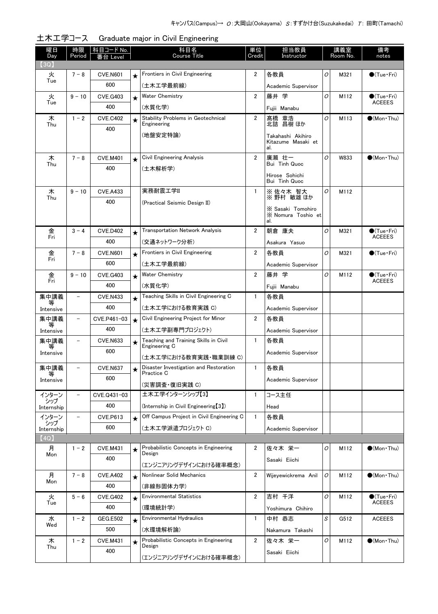| 曜日<br>Day          | 時限<br>Period             | 科目コード No.<br>i台 Level  |         | 科目名<br><b>Course Title</b>                                                        | 担当教員<br>単位<br>Credit<br>Instructor |                                                | 講義室<br>Room No. |      | 備考<br>notes                          |
|--------------------|--------------------------|------------------------|---------|-----------------------------------------------------------------------------------|------------------------------------|------------------------------------------------|-----------------|------|--------------------------------------|
| (3Q)               |                          |                        |         |                                                                                   |                                    |                                                |                 |      |                                      |
| 火                  | $7 - 8$                  | <b>CVE.N601</b>        | $\star$ | Frontiers in Civil Engineering                                                    | $\overline{2}$                     | 各教員                                            | 0               | M321 | $\bigcirc$ (Tue•Fri)                 |
| Tue                |                          | 600                    |         | (土木工学最前線)                                                                         |                                    | Academic Supervisor                            |                 |      |                                      |
| 火<br>Tue           | $9 - 10$                 | <b>CVE.G403</b>        | $\star$ | <b>Water Chemistry</b>                                                            | $\overline{2}$                     | 藤井 学                                           | O               | M112 | $\bullet$ (Tue•Fri)<br><b>ACEEES</b> |
|                    |                          | 400                    |         | (水質化学)                                                                            |                                    | Fujii Manabu                                   |                 |      |                                      |
| 木<br>Thu           | $1 - 2$                  | <b>CVE.C402</b>        | $\star$ | <b>Stability Problems in Geotechnical</b><br>Engineering                          | $\overline{2}$                     | 髙橋 章浩<br>北詰 昌樹ほか                               | 0               | M113 | $\bullet$ (Mon Thu)                  |
|                    |                          | 400                    |         | (地盤安定特論)                                                                          |                                    | Takahashi Akihiro                              |                 |      |                                      |
|                    |                          |                        |         |                                                                                   |                                    | Kitazume Masaki et<br>al.                      |                 |      |                                      |
| 木<br>Thu           | $7 - 8$                  | <b>CVE.M401</b>        | $\star$ | Civil Engineering Analysis                                                        | $\overline{2}$                     | 廣瀬 壮一<br>Bui Tinh Quoc                         | 0               | W833 | $\bigcirc$ (Mon Thu)                 |
|                    |                          | 400                    |         | (土木解析学)                                                                           |                                    | Hirose Sohichi<br>Bui Tinh Quoc                |                 |      |                                      |
| 木                  | $9 - 10$                 | <b>CVE.A433</b>        |         | 実務耐震工学II                                                                          | 1                                  | ※佐々木 智大                                        | 0               | M112 |                                      |
| Thu                |                          | 400                    |         | (Practical Seismic Design II)                                                     |                                    | ※野村 敏雄ほか                                       |                 |      |                                      |
|                    |                          |                        |         |                                                                                   |                                    | X Sasaki Tomohiro<br>X Nomura Toshio et<br>al. |                 |      |                                      |
| 金                  | $3 - 4$                  | <b>CVE.D402</b>        | $\star$ | <b>Transportation Network Analysis</b>                                            | $\overline{2}$                     | 朝倉 康夫                                          | 0               | M321 | $\bigcirc$ (Tue·Fri)                 |
| Fri                |                          | 400                    |         | (交通ネットワーク分析)                                                                      |                                    | Asakura Yasuo                                  |                 |      | <b>ACEEES</b>                        |
| 金                  | $7 - 8$                  | <b>CVE.N601</b>        | $\star$ | Frontiers in Civil Engineering                                                    | $\overline{2}$                     | 各教員                                            | 0               | M321 | $\bigcirc$ (Tue·Fri)                 |
| Fri                |                          | 600                    |         | (土木工学最前線)                                                                         |                                    | Academic Supervisor                            |                 |      |                                      |
| 金                  | $9 - 10$                 | CVE.G403               | $\star$ | <b>Water Chemistry</b>                                                            | $\overline{2}$                     | 藤井 学                                           | 0               | M112 | $\bigcirc$ (Tue · Fri)               |
| Fri                |                          | 400                    |         | (水質化学)                                                                            |                                    | Fujii Manabu                                   |                 |      | <b>ACEEES</b>                        |
| 集中講義<br>等          |                          | <b>CVE.N433</b>        | $\star$ | Teaching Skills in Civil Engineering C                                            | $\mathbf{1}$                       | 各教員                                            |                 |      |                                      |
| Intensive          |                          | 400                    |         | (土木工学における教育実践 C)                                                                  |                                    | Academic Supervisor                            |                 |      |                                      |
| 集中講義<br>等          | $\overline{\phantom{0}}$ | CVE.P461-03            | $\star$ | Civil Engineering Project for Minor                                               | $\overline{2}$                     | 各教員                                            |                 |      |                                      |
| Intensive          |                          | 400                    |         | (土木工学副専門プロジェクト)                                                                   |                                    | Academic Supervisor                            |                 |      |                                      |
| 集中講義<br>等          | $\overline{\phantom{0}}$ | <b>CVE.N633</b>        | $\star$ | Teaching and Training Skills in Civil<br>Engineering C                            | $\mathbf{1}$                       | 各教員                                            |                 |      |                                      |
| Intensive          |                          | 600                    |         | (土木工学における教育実践・職業訓練 C)                                                             |                                    | Academic Supervisor                            |                 |      |                                      |
| 集中講義               |                          | <b>CVE.N637</b>        | ╈       | Disaster Investigation and Restoration                                            | $\mathbf{1}$                       | 各教員                                            |                 |      |                                      |
| 等<br>Intensive     |                          | 600                    |         | Practice C                                                                        |                                    | Academic Supervisor                            |                 |      |                                      |
|                    |                          |                        |         | (災害調査·復旧実践 C)                                                                     |                                    |                                                |                 |      |                                      |
| インターン<br>シップ       | $\overline{\phantom{0}}$ | CVE.Q431-03            |         | 土木工学インターンシップ【3】                                                                   | $\mathbf{1}$                       | コース主任                                          |                 |      |                                      |
| Internship         |                          | 400                    |         | (Internship in Civil Engineering[3])<br>Off Campus Project in Civil Engineering C | $\mathbf{1}$                       | Head                                           |                 |      |                                      |
| インターン<br>シップ       |                          | <b>CVE.P613</b><br>600 | $\star$ | (土木工学派遣プロジェクト C)                                                                  |                                    | 各教員                                            |                 |      |                                      |
| Internship<br>(4Q) |                          |                        |         |                                                                                   |                                    | Academic Supervisor                            |                 |      |                                      |
| 月                  | $1 - 2$                  | <b>CVE.M431</b>        | $\star$ | Probabilistic Concepts in Engineering                                             | 2                                  | 佐々木 栄一                                         | 0               | M112 | $\bullet$ (Mon Thu)                  |
| Mon                |                          | 400                    |         | Design                                                                            |                                    | Sasaki Eiichi                                  |                 |      |                                      |
|                    |                          |                        |         | (エンジニアリングデザインにおける確率概念)                                                            |                                    |                                                |                 |      |                                      |
| 月<br>Mon           | $7 - 8$                  | <b>CVE.A402</b>        | $\star$ | Nonlinear Solid Mechanics                                                         | $\overline{2}$                     | Wijeyewickrema Anil                            | 0               | M112 | $\bullet$ (Mon Thu)                  |
| 火                  | $5 - 6$                  | 400<br><b>CVE.G402</b> |         | (非線形固体力学)<br><b>Environmental Statistics</b>                                      | $\overline{2}$                     | 吉村 千洋                                          | O               | M112 | $\bigcirc$ (Tue · Fri)               |
| Tue                |                          | 400                    | $\star$ | (環境統計学)                                                                           |                                    | Yoshimura Chihiro                              |                 |      | <b>ACEEES</b>                        |
| 水                  | $1 - 2$                  | <b>GEG.E502</b>        | $\star$ | <b>Environmental Hydraulics</b>                                                   | 1                                  | 中村 恭志                                          | S               | G512 | <b>ACEEES</b>                        |
| Wed                |                          | 500                    |         | (水環境解析論)                                                                          |                                    | Nakamura Takashi                               |                 |      |                                      |
| 木                  | $1 - 2$                  | <b>CVE.M431</b>        | $\star$ | Probabilistic Concepts in Engineering                                             | $\overline{2}$                     | 佐々木 栄一                                         | 0               | M112 | $\bullet$ (Mon Thu)                  |
| Thu                |                          | 400                    |         | Design                                                                            |                                    | Sasaki Eiichi                                  |                 |      |                                      |
|                    |                          |                        |         | (エンジニアリングデザインにおける確率概念)                                                            |                                    |                                                |                 |      |                                      |

|  |  | 土木工学コース Graduate major in Civil Engineering |
|--|--|---------------------------------------------|
|--|--|---------------------------------------------|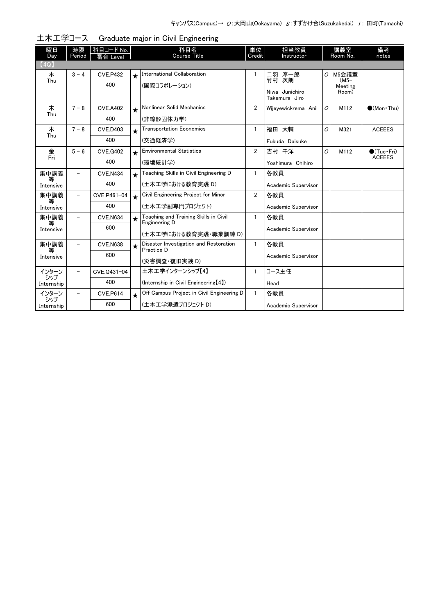| 曜日             | 時限                       | 科目コード No.       |               | 科目名                                                    | 単位                  | 担当教員                            |               | 講義室           | 備考                    |
|----------------|--------------------------|-----------------|---------------|--------------------------------------------------------|---------------------|---------------------------------|---------------|---------------|-----------------------|
| Dav            | Period                   | 番台 Level        |               | <b>Course Title</b>                                    | Credit              | Instructor                      |               | Room No.      | notes                 |
| (4Q)           |                          |                 |               |                                                        |                     |                                 |               |               |                       |
| 木              | $3 - 4$                  | <b>CVE.P432</b> | $\star$       | International Collaboration                            | 1                   | 二羽 淳一郎                          | 0             | M5会議室<br>(M5– |                       |
| Thu            |                          | 400             |               | (国際コラボレーション)                                           |                     | 竹村 次朗                           |               | Meeting       |                       |
|                |                          |                 |               |                                                        |                     | Niwa Junichiro<br>Takemura Jiro |               | Room)         |                       |
| 木              | $7 - 8$                  | <b>CVE.A402</b> | $\star$       | Nonlinear Solid Mechanics                              | $\overline{2}$      | Wijeyewickrema Anil             | O             | M112          | $(Mon\cdot Thu)$      |
| Thu            |                          | 400             |               | (非線形固体力学)                                              |                     |                                 |               |               |                       |
| 木              | $7 - 8$                  | <b>CVE.D403</b> | $\star$       | <b>Transportation Economics</b>                        | $\mathbf{1}$        | 福田 大輔                           | O             | M321          | <b>ACEEES</b>         |
| Thu            |                          | 400             |               | (交通経済学)                                                |                     | Fukuda Daisuke                  |               |               |                       |
| 金              | $5 - 6$                  | <b>CVE.G402</b> | $\star$       | <b>Environmental Statistics</b>                        | $\overline{2}$      | 吉村 千洋                           | $\Omega$      | M112          | $\bullet$ (Tue · Fri) |
| Fri<br>400     |                          | (環境統計学)         |               | Yoshimura Chihiro                                      |                     |                                 | <b>ACEEES</b> |               |                       |
| 集中講義           |                          | <b>CVE.N434</b> | $\bigstar$    | Teaching Skills in Civil Engineering D                 | 1                   | 各教員                             |               |               |                       |
| 等<br>Intensive |                          | 400             |               | (土木工学における教育実践 D)                                       |                     | Academic Supervisor             |               |               |                       |
| 集中講義           | $\overline{\phantom{0}}$ | CVE.P461-04     | $\star$       | Civil Engineering Project for Minor                    | $\overline{2}$      | 各教員                             |               |               |                       |
| 等<br>Intensive |                          | 400             |               | (土木工学副専門プロジェクト)                                        |                     | Academic Supervisor             |               |               |                       |
| 集中講義           | $\overline{\phantom{0}}$ | <b>CVE.N634</b> | $\star$       | Teaching and Training Skills in Civil<br>Engineering D | $\mathbf{1}$        | 各教員                             |               |               |                       |
| 等<br>Intensive |                          | 600             |               |                                                        |                     | Academic Supervisor             |               |               |                       |
|                |                          |                 |               | (土木工学における教育実践・職業訓練 D)                                  |                     |                                 |               |               |                       |
| 集中講義<br>等      |                          | <b>CVE.N638</b> | $\star$       | Disaster Investigation and Restoration<br>Practice D   | $\mathbf{1}$        | 各教員                             |               |               |                       |
| Intensive      | 600                      |                 | (災害調査・復旧実践 D) |                                                        | Academic Supervisor |                                 |               |               |                       |
| インターン          |                          | CVE.Q431-04     |               | 土木工学インターンシップ【4】                                        | $\mathbf{1}$        | コース主任                           |               |               |                       |
| シップ            |                          |                 |               |                                                        |                     |                                 |               |               |                       |
| Internship     |                          | 400             |               | (Internship in Civil Engineering [4])                  |                     | Head                            |               |               |                       |
| インターン<br>シップ   | $\overline{\phantom{0}}$ | <b>CVE.P614</b> | $\star$       | Off Campus Project in Civil Engineering D              | $\mathbf{1}$        | 各教員                             |               |               |                       |
| Internship     |                          | 600             |               | (土木工学派遣プロジェクト D)                                       |                     | Academic Supervisor             |               |               |                       |

| 土木工学コース | Graduate major in Civil Engineering |  |  |
|---------|-------------------------------------|--|--|
|---------|-------------------------------------|--|--|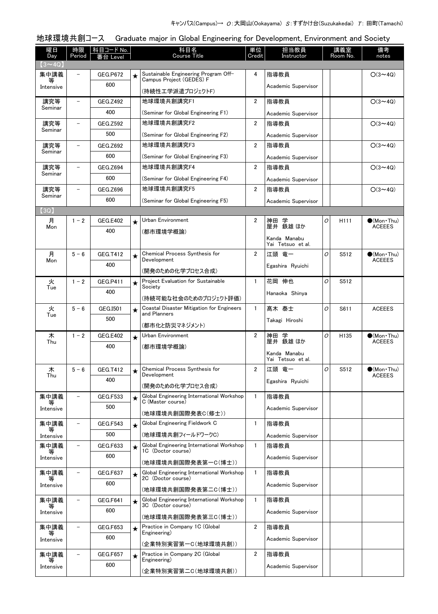### 曜日 Day 時限 Period │ 科目コード No. │ │ │ │ │ │ │ 科目名│ Course Title 番台 Level notes 単位 **Credit** 担当教員 **Instructor** 講義室 Room No. 備考 地球環境共創コース Graduate major in Global Engineering for Development, Environment and Society  $\sqrt{3} \sim 4Q$ ★ Sustainable Engineering Program Off-  $\begin{array}{|c|c|c|c|c|c|}\n\star & \multicolumn{1}{|c|}{\multicolumn{1}{c|}{\parallel}}\n\star & \multicolumn{1}{|c|}{\multicolumn{1}{c|}{\parallel}}\n\star & \multicolumn{1}{|c|}{\multicolumn{1}{c|}{\parallel}}\n\star & \multicolumn{1}{|c|}{\multicolumn{1}{c|}{\parallel}}\n\star & \multicolumn{1}{|c|}{\multicolumn{1}{c|}{\parallel}}\n\star & \multicolumn{1}{|c|}{\$ Campus Project (GEDES) F (持続性工学派遣プロジェクトF) 集中講義 等 Intensive GEG P672 600 Academic Supervisor 地球環境共創講究F1 [\(Seminar for Global Engineering F1\)](http://www.ocw.titech.ac.jp/index.php?module=General&action=T0300&JWC=201905004&lang=JA&vid=03) 講究等 Seminar GEG.7492 400 2 指導教員 ○(3~4Q) Academic Supervisor 地球環境共創講究F2 [\(Seminar for Global Engineering F2\)](http://www.ocw.titech.ac.jp/index.php?module=General&action=T0300&JWC=201905065&lang=JA&vid=03) 講究等 Seminar  $-$  GEG.Z592 500 2 指導教員 ○(3~4Q) Academic Supervisor 地球環境共創講究F3 [\(Seminar for Global Engineering F3\)](http://www.ocw.titech.ac.jp/index.php?module=General&action=T0300&JWC=201905042&lang=JA&vid=03) 講究等 Seminar GEG.Z692 600 2 指導教員 ○(3~4Q) Academic Supervisor 地球環境共創講究F4 [\(Seminar for Global Engineering F4\)](http://www.ocw.titech.ac.jp/index.php?module=General&action=T0300&JWC=201905044&lang=JA&vid=03) 講究等 Seminar GEG.Z694 600 2 指導教員 ○(3~4Q) Academic Supervisor 地球環境共創講究F5 [\(Seminar for Global Engineering F5\)](http://www.ocw.titech.ac.jp/index.php?module=General&action=T0300&JWC=201905046&lang=JA&vid=03) 講究等 Seminar GEG.Z696 600 2 指導教員 ○(3~4Q) Academic Supervisor 【3Q】 [Urban Environment](http://www.ocw.titech.ac.jp/index.php?module=General&action=T0300&JWC=201905075&lang=JA&vid=03) (都市環境学概論) 月 **Mon**  $1 - 2$  GEG.E402 400 ★ 2 H111 ●(Mon・Thu) 神田 学 (Mon Thu)<br>ACEEES 屋井 鉄雄 ほか Kanda Manabu Yai Tetsuo et al. *O* ★ [Chemical Process Synthesis for](http://www.ocw.titech.ac.jp/index.php?module=General&action=T0300&JWC=201904996&lang=JA&vid=03)  $\begin{vmatrix} 2 & \end{vmatrix}$ 江頭 竜一  $\begin{vmatrix} 0 & \end{vmatrix}$  S512  $\begin{vmatrix} 0 & \text{Mon-Thu} \end{vmatrix}$ Development (開発のための化学プロセス合成) 月 Mon  $5 - 6$  GEG.T412 400 **ACEEES** 江頭 竜一 Egashira Ryuichi *O*★ Project Evaluation for Sustainable  $\begin{array}{|c|c|c|c|c|c|c|c|c|} \hline \text{ \textbf{.}} & \text{ \textbf{.}} & \text{ \textbf{.}} & \text{ \textbf{.}} & \text{ \textbf{.}} & \text{ \textbf{.}} & \text{ \textbf{.}} & \text{ \textbf{.}} & \text{ \textbf{.}} & \text{ \textbf{.}} & \text{ \textbf{.}} & \text{ \textbf{.}} & \text{ \textbf{.}} & \text{ \textbf{.}} & \text{ \textbf{.}} & \text{ \$ Society [\(持続可能な社会のためのプロジェクト評価\)](http://www.ocw.titech.ac.jp/index.php?module=General&action=T0300&JWC=201926425&lang=JA&vid=03) 火 Tue  $1 - 2$  GEG.P411 400 Hanaoka Shinya *O* ★ [Coastal Disaster Mitigation for Engineers](http://www.ocw.titech.ac.jp/index.php?module=General&action=T0300&JWC=201905070&lang=JA&vid=03) | 1 |髙木 泰士 |*0* | S611 | ACEEES and Planners (都市化と防災マネジメント) 火 Tue  $5 - 6$  GEG.I501 500 Takagi Hiroshi *O* [Urban Environment](http://www.ocw.titech.ac.jp/index.php?module=General&action=T0300&JWC=201905075&lang=JA&vid=03) ★ 2 H135 ●(Mon・Thu) (都市環境学概論) 木 Thu  $\overline{1-2}$  GEG.E402 400 ACEEES 神田 学 屋井 鉄雄 ほか Kanda Manabu Yai Tetsuo et al. *O* ★ [Chemical Process Synthesis for](http://www.ocw.titech.ac.jp/index.php?module=General&action=T0300&JWC=201904996&lang=JA&vid=03)  $\begin{vmatrix} 2 & \end{vmatrix}$ 江頭 竜一  $\begin{vmatrix} 0 & \end{vmatrix}$  S512  $\begin{vmatrix} 0 & \text{Mon-Thu} \end{vmatrix}$ Development (開発のための化学プロセス合成) 木 Thu  $5 - 6$  GEG.T412 400  $\bigcirc$ (Mon Thu)<br>ACEEES 江頭 竜一 Egashira Ryuichi *O* ★ [Global Engineering International Workshop](http://www.ocw.titech.ac.jp/index.php?module=General&action=T0300&JWC=201908188&lang=JA&vid=03) | 1 |指導教員 C (Master course) (地球環境共創国際発表C(修士)) 集中講義 等 Intensive GEG.F533 500 Academic Supervisor ★ Global Engineering Fieldwork C 指導教員 [\(地球環境共創フィールドワークC\)](http://www.ocw.titech.ac.jp/index.php?module=General&action=T0300&JWC=201908180&lang=JA&vid=03) 集中講義 等 **Intensive** GEG.F543 500 Academic Supervisor ★ [Global Engineering International Workshop](http://www.ocw.titech.ac.jp/index.php?module=General&action=T0300&JWC=201908240&lang=JA&vid=03) | 1 |指導教員 1C (Doctor course) (地球環境共創国際発表第一C(博士)) 集中講義 等 **Intensive** - GEG.F633 600 Academic Supervisor ★ [Global Engineering International Workshop](http://www.ocw.titech.ac.jp/index.php?module=General&action=T0300&JWC=201908244&lang=JA&vid=03) | 1 |指導教員 2C (Doctor course) (地球環境共創国際発表第二C(博士)) 集中講義 等 Intensive GEG.F637 600 Academic Supervisor ★ [Global Engineering International Workshop](http://www.ocw.titech.ac.jp/index.php?module=General&action=T0300&JWC=201908248&lang=JA&vid=03) | 1 |指導教員 3C (Doctor course) (地球環境共創国際発表第三C(博士)) 集中講義 等 Intensive GEG<sub>F641</sub> 600 Academic Supervisor Practice in Company 1C (Global ★ 2 指導教員 Engineering) [\(企業特別実習第一C\(地球環境共創\)\)](http://www.ocw.titech.ac.jp/index.php?module=General&action=T0300&JWC=201908208&lang=JA&vid=03) 集中講義 等 Intensive GFG.F653 600 Academic Supervisor ★ Practice in Company 2C (Global ) 2 指導教員 Engineering) [\(企業特別実習第二C\(地球環境共創\)\)](http://www.ocw.titech.ac.jp/index.php?module=General&action=T0300&JWC=201908212&lang=JA&vid=03) 集中講義 等 Intensive - GEG.F657 600 Academic Supervisor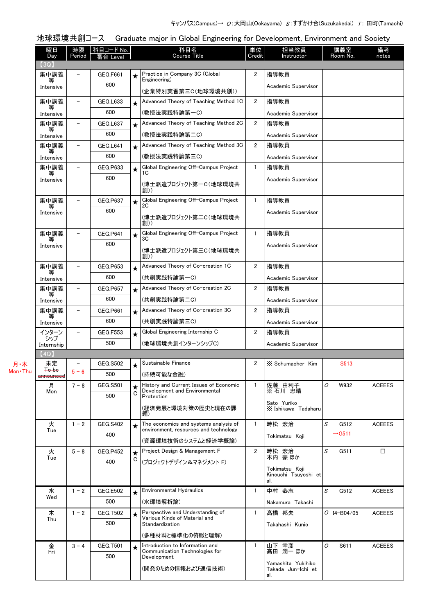| 科目コード No.<br>科目名<br>担当教員<br>曜日<br>時限<br>単位<br>講義室<br>備考<br>Course Title<br>Credit<br>Room No.<br>Period<br>Instructor<br>notes<br>Day<br>番台 Level<br>(3Q)<br>Practice in Company 3C (Global<br>集中講義<br>2<br>指導教員<br><b>GEG.F661</b><br>★<br>Engineering)<br>等<br>600<br>Academic Supervisor<br>Intensive<br>(企業特別実習第三C(地球環境共創))<br>Advanced Theory of Teaching Method 1C<br>集中講義<br>$\overline{2}$<br>GEG.L633<br>指導教員<br>$\qquad \qquad -$<br>$\star$<br>等<br>600<br>(教授法実践特論第一C)<br>Academic Supervisor<br>Intensive<br>Advanced Theory of Teaching Method 2C<br>$\overline{2}$<br>集中講義<br><b>GEG.L637</b><br>指導教員<br>$\qquad \qquad -$<br>$\star$<br>600<br>(教授法実践特論第二C)<br>Academic Supervisor<br>Intensive<br>Advanced Theory of Teaching Method 3C<br>$\overline{2}$<br>集中講義<br>指導教員<br>GEG.L641<br>$\star$<br>600<br>(教授法実践特論第三C)<br>Academic Supervisor<br>Intensive<br>Global Engineering Off-Campus Project<br>集中講義<br>GEG.P633<br>$\mathbf{1}$<br>指導教員<br>$\overline{\phantom{0}}$<br>$\bigstar$<br>1C<br>600<br>Academic Supervisor<br>Intensive<br>(博士派遣プロジェクト第一C(地球環境共<br>創))<br>Global Engineering Off-Campus Project<br>集中講義<br>指導教員<br>$\mathbf{1}$<br><b>GEG.P637</b><br>$\star$<br>2C<br>等<br>600<br>Academic Supervisor<br>Intensive<br>(博士派遣プロジェクト第二C(地球環境共<br>創))<br>Global Engineering Off-Campus Project<br>指導教員<br>集中講義<br>$\mathbf{1}$<br><b>GEG.P641</b><br>$\star$<br>3C<br>600<br>Academic Supervisor<br>Intensive<br>(博士派遣プロジェクト第三C(地球環境共<br>創))<br>Advanced Theory of Co-creation 1C<br>2<br>集中講義<br><b>GEG.P653</b><br>指導教員<br>★<br>等<br>600<br>(共創実践特論第一C)<br>Academic Supervisor<br>Intensive<br>Advanced Theory of Co-creation 2C<br>2<br>集中講義<br>指導教員<br><b>GEG.P657</b><br>$\overline{\phantom{m}}$<br>$\star$<br>等<br>600<br>(共創実践特論第二C)<br>Academic Supervisor<br>Intensive<br>Advanced Theory of Co-creation 3C<br>2<br>集中講義<br><b>GEG.P661</b><br>指導教員<br>★<br>等<br>600<br>(共創実践特論第三C)<br>Academic Supervisor<br>Intensive<br>インターン<br>Global Engineering Internship C<br>2<br><b>GEG.F553</b><br>指導教員<br>★<br>シップ<br>500<br>(地球環境共創インターンシップC)<br>Academic Supervisor<br>Internship<br>(4Q)<br>Sustainable Finance<br>未定<br><b>GEG.S502</b><br>2<br>月·木<br>X Schumacher Kim<br>S513<br>$\overline{\phantom{m}}$<br>$\star$<br><b>To be</b><br>$5 - 6$<br>500<br>(持続可能な金融)<br>announced<br>History and Current Issues of Economic<br>O<br>月<br>$7 - 8$<br>$\mathbf{1}$<br>佐藤 由利子<br><b>GEG.S501</b><br>W932<br><b>ACEEES</b><br>$\star$<br>※右川 忠晴<br>Development and Environmental<br>Mon<br>C<br>500<br>Protection<br>Sato Yuriko<br>(経済発展と環境対策の歴史と現在の課<br>X Ishikawa Tadaharu<br>題)<br>The economics and systems analysis of<br>$\cal S$<br>時松 宏治<br>火<br>$\mathbf{1}$<br>$1 - 2$<br><b>GEG.S402</b><br>G512<br><b>ACEEES</b><br>★<br>environment, resources and technology<br>Tue<br>$\rightarrow$ G511<br>400<br>Tokimatsu Koji<br>(資源環境技術のシステムと経済学概論)<br>Project Design & Management F<br>S<br>$\overline{2}$<br>時松 宏治<br>木内 豪ほか<br>$\Box$<br>$5 - 8$<br><b>GEG.P452</b><br>G511<br>火<br>$\star$<br>Tue<br>C<br>400<br>(プロジェクトデザイン&マネジメント F) | 地球環境共創コース |  | Graduate major in Global Engineering for Development, Environment and Society |  |  |  |
|-------------------------------------------------------------------------------------------------------------------------------------------------------------------------------------------------------------------------------------------------------------------------------------------------------------------------------------------------------------------------------------------------------------------------------------------------------------------------------------------------------------------------------------------------------------------------------------------------------------------------------------------------------------------------------------------------------------------------------------------------------------------------------------------------------------------------------------------------------------------------------------------------------------------------------------------------------------------------------------------------------------------------------------------------------------------------------------------------------------------------------------------------------------------------------------------------------------------------------------------------------------------------------------------------------------------------------------------------------------------------------------------------------------------------------------------------------------------------------------------------------------------------------------------------------------------------------------------------------------------------------------------------------------------------------------------------------------------------------------------------------------------------------------------------------------------------------------------------------------------------------------------------------------------------------------------------------------------------------------------------------------------------------------------------------------------------------------------------------------------------------------------------------------------------------------------------------------------------------------------------------------------------------------------------------------------------------------------------------------------------------------------------------------------------------------------------------------------------------------------------------------------------------------------------------------------------------------------------------------------------------------------------------------------------------------------------------------------------------------------------------------------------------------------------------------------------------------------------------------------------------------------------------------------------------------------------------------------------------------------------------------------------------------------------------------------------------------------|-----------|--|-------------------------------------------------------------------------------|--|--|--|
|                                                                                                                                                                                                                                                                                                                                                                                                                                                                                                                                                                                                                                                                                                                                                                                                                                                                                                                                                                                                                                                                                                                                                                                                                                                                                                                                                                                                                                                                                                                                                                                                                                                                                                                                                                                                                                                                                                                                                                                                                                                                                                                                                                                                                                                                                                                                                                                                                                                                                                                                                                                                                                                                                                                                                                                                                                                                                                                                                                                                                                                                                           |           |  |                                                                               |  |  |  |
|                                                                                                                                                                                                                                                                                                                                                                                                                                                                                                                                                                                                                                                                                                                                                                                                                                                                                                                                                                                                                                                                                                                                                                                                                                                                                                                                                                                                                                                                                                                                                                                                                                                                                                                                                                                                                                                                                                                                                                                                                                                                                                                                                                                                                                                                                                                                                                                                                                                                                                                                                                                                                                                                                                                                                                                                                                                                                                                                                                                                                                                                                           |           |  |                                                                               |  |  |  |
|                                                                                                                                                                                                                                                                                                                                                                                                                                                                                                                                                                                                                                                                                                                                                                                                                                                                                                                                                                                                                                                                                                                                                                                                                                                                                                                                                                                                                                                                                                                                                                                                                                                                                                                                                                                                                                                                                                                                                                                                                                                                                                                                                                                                                                                                                                                                                                                                                                                                                                                                                                                                                                                                                                                                                                                                                                                                                                                                                                                                                                                                                           |           |  |                                                                               |  |  |  |
|                                                                                                                                                                                                                                                                                                                                                                                                                                                                                                                                                                                                                                                                                                                                                                                                                                                                                                                                                                                                                                                                                                                                                                                                                                                                                                                                                                                                                                                                                                                                                                                                                                                                                                                                                                                                                                                                                                                                                                                                                                                                                                                                                                                                                                                                                                                                                                                                                                                                                                                                                                                                                                                                                                                                                                                                                                                                                                                                                                                                                                                                                           |           |  |                                                                               |  |  |  |
|                                                                                                                                                                                                                                                                                                                                                                                                                                                                                                                                                                                                                                                                                                                                                                                                                                                                                                                                                                                                                                                                                                                                                                                                                                                                                                                                                                                                                                                                                                                                                                                                                                                                                                                                                                                                                                                                                                                                                                                                                                                                                                                                                                                                                                                                                                                                                                                                                                                                                                                                                                                                                                                                                                                                                                                                                                                                                                                                                                                                                                                                                           |           |  |                                                                               |  |  |  |
|                                                                                                                                                                                                                                                                                                                                                                                                                                                                                                                                                                                                                                                                                                                                                                                                                                                                                                                                                                                                                                                                                                                                                                                                                                                                                                                                                                                                                                                                                                                                                                                                                                                                                                                                                                                                                                                                                                                                                                                                                                                                                                                                                                                                                                                                                                                                                                                                                                                                                                                                                                                                                                                                                                                                                                                                                                                                                                                                                                                                                                                                                           |           |  |                                                                               |  |  |  |
|                                                                                                                                                                                                                                                                                                                                                                                                                                                                                                                                                                                                                                                                                                                                                                                                                                                                                                                                                                                                                                                                                                                                                                                                                                                                                                                                                                                                                                                                                                                                                                                                                                                                                                                                                                                                                                                                                                                                                                                                                                                                                                                                                                                                                                                                                                                                                                                                                                                                                                                                                                                                                                                                                                                                                                                                                                                                                                                                                                                                                                                                                           |           |  |                                                                               |  |  |  |
|                                                                                                                                                                                                                                                                                                                                                                                                                                                                                                                                                                                                                                                                                                                                                                                                                                                                                                                                                                                                                                                                                                                                                                                                                                                                                                                                                                                                                                                                                                                                                                                                                                                                                                                                                                                                                                                                                                                                                                                                                                                                                                                                                                                                                                                                                                                                                                                                                                                                                                                                                                                                                                                                                                                                                                                                                                                                                                                                                                                                                                                                                           |           |  |                                                                               |  |  |  |
|                                                                                                                                                                                                                                                                                                                                                                                                                                                                                                                                                                                                                                                                                                                                                                                                                                                                                                                                                                                                                                                                                                                                                                                                                                                                                                                                                                                                                                                                                                                                                                                                                                                                                                                                                                                                                                                                                                                                                                                                                                                                                                                                                                                                                                                                                                                                                                                                                                                                                                                                                                                                                                                                                                                                                                                                                                                                                                                                                                                                                                                                                           |           |  |                                                                               |  |  |  |
|                                                                                                                                                                                                                                                                                                                                                                                                                                                                                                                                                                                                                                                                                                                                                                                                                                                                                                                                                                                                                                                                                                                                                                                                                                                                                                                                                                                                                                                                                                                                                                                                                                                                                                                                                                                                                                                                                                                                                                                                                                                                                                                                                                                                                                                                                                                                                                                                                                                                                                                                                                                                                                                                                                                                                                                                                                                                                                                                                                                                                                                                                           |           |  |                                                                               |  |  |  |
|                                                                                                                                                                                                                                                                                                                                                                                                                                                                                                                                                                                                                                                                                                                                                                                                                                                                                                                                                                                                                                                                                                                                                                                                                                                                                                                                                                                                                                                                                                                                                                                                                                                                                                                                                                                                                                                                                                                                                                                                                                                                                                                                                                                                                                                                                                                                                                                                                                                                                                                                                                                                                                                                                                                                                                                                                                                                                                                                                                                                                                                                                           |           |  |                                                                               |  |  |  |
|                                                                                                                                                                                                                                                                                                                                                                                                                                                                                                                                                                                                                                                                                                                                                                                                                                                                                                                                                                                                                                                                                                                                                                                                                                                                                                                                                                                                                                                                                                                                                                                                                                                                                                                                                                                                                                                                                                                                                                                                                                                                                                                                                                                                                                                                                                                                                                                                                                                                                                                                                                                                                                                                                                                                                                                                                                                                                                                                                                                                                                                                                           |           |  |                                                                               |  |  |  |
|                                                                                                                                                                                                                                                                                                                                                                                                                                                                                                                                                                                                                                                                                                                                                                                                                                                                                                                                                                                                                                                                                                                                                                                                                                                                                                                                                                                                                                                                                                                                                                                                                                                                                                                                                                                                                                                                                                                                                                                                                                                                                                                                                                                                                                                                                                                                                                                                                                                                                                                                                                                                                                                                                                                                                                                                                                                                                                                                                                                                                                                                                           |           |  |                                                                               |  |  |  |
|                                                                                                                                                                                                                                                                                                                                                                                                                                                                                                                                                                                                                                                                                                                                                                                                                                                                                                                                                                                                                                                                                                                                                                                                                                                                                                                                                                                                                                                                                                                                                                                                                                                                                                                                                                                                                                                                                                                                                                                                                                                                                                                                                                                                                                                                                                                                                                                                                                                                                                                                                                                                                                                                                                                                                                                                                                                                                                                                                                                                                                                                                           |           |  |                                                                               |  |  |  |
|                                                                                                                                                                                                                                                                                                                                                                                                                                                                                                                                                                                                                                                                                                                                                                                                                                                                                                                                                                                                                                                                                                                                                                                                                                                                                                                                                                                                                                                                                                                                                                                                                                                                                                                                                                                                                                                                                                                                                                                                                                                                                                                                                                                                                                                                                                                                                                                                                                                                                                                                                                                                                                                                                                                                                                                                                                                                                                                                                                                                                                                                                           |           |  |                                                                               |  |  |  |
|                                                                                                                                                                                                                                                                                                                                                                                                                                                                                                                                                                                                                                                                                                                                                                                                                                                                                                                                                                                                                                                                                                                                                                                                                                                                                                                                                                                                                                                                                                                                                                                                                                                                                                                                                                                                                                                                                                                                                                                                                                                                                                                                                                                                                                                                                                                                                                                                                                                                                                                                                                                                                                                                                                                                                                                                                                                                                                                                                                                                                                                                                           |           |  |                                                                               |  |  |  |
|                                                                                                                                                                                                                                                                                                                                                                                                                                                                                                                                                                                                                                                                                                                                                                                                                                                                                                                                                                                                                                                                                                                                                                                                                                                                                                                                                                                                                                                                                                                                                                                                                                                                                                                                                                                                                                                                                                                                                                                                                                                                                                                                                                                                                                                                                                                                                                                                                                                                                                                                                                                                                                                                                                                                                                                                                                                                                                                                                                                                                                                                                           |           |  |                                                                               |  |  |  |
|                                                                                                                                                                                                                                                                                                                                                                                                                                                                                                                                                                                                                                                                                                                                                                                                                                                                                                                                                                                                                                                                                                                                                                                                                                                                                                                                                                                                                                                                                                                                                                                                                                                                                                                                                                                                                                                                                                                                                                                                                                                                                                                                                                                                                                                                                                                                                                                                                                                                                                                                                                                                                                                                                                                                                                                                                                                                                                                                                                                                                                                                                           |           |  |                                                                               |  |  |  |
|                                                                                                                                                                                                                                                                                                                                                                                                                                                                                                                                                                                                                                                                                                                                                                                                                                                                                                                                                                                                                                                                                                                                                                                                                                                                                                                                                                                                                                                                                                                                                                                                                                                                                                                                                                                                                                                                                                                                                                                                                                                                                                                                                                                                                                                                                                                                                                                                                                                                                                                                                                                                                                                                                                                                                                                                                                                                                                                                                                                                                                                                                           |           |  |                                                                               |  |  |  |
| Mon · Thu                                                                                                                                                                                                                                                                                                                                                                                                                                                                                                                                                                                                                                                                                                                                                                                                                                                                                                                                                                                                                                                                                                                                                                                                                                                                                                                                                                                                                                                                                                                                                                                                                                                                                                                                                                                                                                                                                                                                                                                                                                                                                                                                                                                                                                                                                                                                                                                                                                                                                                                                                                                                                                                                                                                                                                                                                                                                                                                                                                                                                                                                                 |           |  |                                                                               |  |  |  |
|                                                                                                                                                                                                                                                                                                                                                                                                                                                                                                                                                                                                                                                                                                                                                                                                                                                                                                                                                                                                                                                                                                                                                                                                                                                                                                                                                                                                                                                                                                                                                                                                                                                                                                                                                                                                                                                                                                                                                                                                                                                                                                                                                                                                                                                                                                                                                                                                                                                                                                                                                                                                                                                                                                                                                                                                                                                                                                                                                                                                                                                                                           |           |  |                                                                               |  |  |  |
|                                                                                                                                                                                                                                                                                                                                                                                                                                                                                                                                                                                                                                                                                                                                                                                                                                                                                                                                                                                                                                                                                                                                                                                                                                                                                                                                                                                                                                                                                                                                                                                                                                                                                                                                                                                                                                                                                                                                                                                                                                                                                                                                                                                                                                                                                                                                                                                                                                                                                                                                                                                                                                                                                                                                                                                                                                                                                                                                                                                                                                                                                           |           |  |                                                                               |  |  |  |
|                                                                                                                                                                                                                                                                                                                                                                                                                                                                                                                                                                                                                                                                                                                                                                                                                                                                                                                                                                                                                                                                                                                                                                                                                                                                                                                                                                                                                                                                                                                                                                                                                                                                                                                                                                                                                                                                                                                                                                                                                                                                                                                                                                                                                                                                                                                                                                                                                                                                                                                                                                                                                                                                                                                                                                                                                                                                                                                                                                                                                                                                                           |           |  |                                                                               |  |  |  |
|                                                                                                                                                                                                                                                                                                                                                                                                                                                                                                                                                                                                                                                                                                                                                                                                                                                                                                                                                                                                                                                                                                                                                                                                                                                                                                                                                                                                                                                                                                                                                                                                                                                                                                                                                                                                                                                                                                                                                                                                                                                                                                                                                                                                                                                                                                                                                                                                                                                                                                                                                                                                                                                                                                                                                                                                                                                                                                                                                                                                                                                                                           |           |  |                                                                               |  |  |  |
|                                                                                                                                                                                                                                                                                                                                                                                                                                                                                                                                                                                                                                                                                                                                                                                                                                                                                                                                                                                                                                                                                                                                                                                                                                                                                                                                                                                                                                                                                                                                                                                                                                                                                                                                                                                                                                                                                                                                                                                                                                                                                                                                                                                                                                                                                                                                                                                                                                                                                                                                                                                                                                                                                                                                                                                                                                                                                                                                                                                                                                                                                           |           |  |                                                                               |  |  |  |
|                                                                                                                                                                                                                                                                                                                                                                                                                                                                                                                                                                                                                                                                                                                                                                                                                                                                                                                                                                                                                                                                                                                                                                                                                                                                                                                                                                                                                                                                                                                                                                                                                                                                                                                                                                                                                                                                                                                                                                                                                                                                                                                                                                                                                                                                                                                                                                                                                                                                                                                                                                                                                                                                                                                                                                                                                                                                                                                                                                                                                                                                                           |           |  |                                                                               |  |  |  |
|                                                                                                                                                                                                                                                                                                                                                                                                                                                                                                                                                                                                                                                                                                                                                                                                                                                                                                                                                                                                                                                                                                                                                                                                                                                                                                                                                                                                                                                                                                                                                                                                                                                                                                                                                                                                                                                                                                                                                                                                                                                                                                                                                                                                                                                                                                                                                                                                                                                                                                                                                                                                                                                                                                                                                                                                                                                                                                                                                                                                                                                                                           |           |  |                                                                               |  |  |  |
|                                                                                                                                                                                                                                                                                                                                                                                                                                                                                                                                                                                                                                                                                                                                                                                                                                                                                                                                                                                                                                                                                                                                                                                                                                                                                                                                                                                                                                                                                                                                                                                                                                                                                                                                                                                                                                                                                                                                                                                                                                                                                                                                                                                                                                                                                                                                                                                                                                                                                                                                                                                                                                                                                                                                                                                                                                                                                                                                                                                                                                                                                           |           |  |                                                                               |  |  |  |
|                                                                                                                                                                                                                                                                                                                                                                                                                                                                                                                                                                                                                                                                                                                                                                                                                                                                                                                                                                                                                                                                                                                                                                                                                                                                                                                                                                                                                                                                                                                                                                                                                                                                                                                                                                                                                                                                                                                                                                                                                                                                                                                                                                                                                                                                                                                                                                                                                                                                                                                                                                                                                                                                                                                                                                                                                                                                                                                                                                                                                                                                                           |           |  |                                                                               |  |  |  |
|                                                                                                                                                                                                                                                                                                                                                                                                                                                                                                                                                                                                                                                                                                                                                                                                                                                                                                                                                                                                                                                                                                                                                                                                                                                                                                                                                                                                                                                                                                                                                                                                                                                                                                                                                                                                                                                                                                                                                                                                                                                                                                                                                                                                                                                                                                                                                                                                                                                                                                                                                                                                                                                                                                                                                                                                                                                                                                                                                                                                                                                                                           |           |  |                                                                               |  |  |  |
|                                                                                                                                                                                                                                                                                                                                                                                                                                                                                                                                                                                                                                                                                                                                                                                                                                                                                                                                                                                                                                                                                                                                                                                                                                                                                                                                                                                                                                                                                                                                                                                                                                                                                                                                                                                                                                                                                                                                                                                                                                                                                                                                                                                                                                                                                                                                                                                                                                                                                                                                                                                                                                                                                                                                                                                                                                                                                                                                                                                                                                                                                           |           |  |                                                                               |  |  |  |
|                                                                                                                                                                                                                                                                                                                                                                                                                                                                                                                                                                                                                                                                                                                                                                                                                                                                                                                                                                                                                                                                                                                                                                                                                                                                                                                                                                                                                                                                                                                                                                                                                                                                                                                                                                                                                                                                                                                                                                                                                                                                                                                                                                                                                                                                                                                                                                                                                                                                                                                                                                                                                                                                                                                                                                                                                                                                                                                                                                                                                                                                                           |           |  |                                                                               |  |  |  |
|                                                                                                                                                                                                                                                                                                                                                                                                                                                                                                                                                                                                                                                                                                                                                                                                                                                                                                                                                                                                                                                                                                                                                                                                                                                                                                                                                                                                                                                                                                                                                                                                                                                                                                                                                                                                                                                                                                                                                                                                                                                                                                                                                                                                                                                                                                                                                                                                                                                                                                                                                                                                                                                                                                                                                                                                                                                                                                                                                                                                                                                                                           |           |  |                                                                               |  |  |  |
|                                                                                                                                                                                                                                                                                                                                                                                                                                                                                                                                                                                                                                                                                                                                                                                                                                                                                                                                                                                                                                                                                                                                                                                                                                                                                                                                                                                                                                                                                                                                                                                                                                                                                                                                                                                                                                                                                                                                                                                                                                                                                                                                                                                                                                                                                                                                                                                                                                                                                                                                                                                                                                                                                                                                                                                                                                                                                                                                                                                                                                                                                           |           |  |                                                                               |  |  |  |
|                                                                                                                                                                                                                                                                                                                                                                                                                                                                                                                                                                                                                                                                                                                                                                                                                                                                                                                                                                                                                                                                                                                                                                                                                                                                                                                                                                                                                                                                                                                                                                                                                                                                                                                                                                                                                                                                                                                                                                                                                                                                                                                                                                                                                                                                                                                                                                                                                                                                                                                                                                                                                                                                                                                                                                                                                                                                                                                                                                                                                                                                                           |           |  |                                                                               |  |  |  |
| Tokimatsu Koji<br>Kinouchi Tsuyoshi et<br>al.                                                                                                                                                                                                                                                                                                                                                                                                                                                                                                                                                                                                                                                                                                                                                                                                                                                                                                                                                                                                                                                                                                                                                                                                                                                                                                                                                                                                                                                                                                                                                                                                                                                                                                                                                                                                                                                                                                                                                                                                                                                                                                                                                                                                                                                                                                                                                                                                                                                                                                                                                                                                                                                                                                                                                                                                                                                                                                                                                                                                                                             |           |  |                                                                               |  |  |  |
| <b>Environmental Hydraulics</b><br>中村 恭志<br>S<br>$\mathbf{1}$<br>水<br>$1 - 2$<br><b>GEG.E502</b><br>G512<br><b>ACEEES</b><br>$\star$                                                                                                                                                                                                                                                                                                                                                                                                                                                                                                                                                                                                                                                                                                                                                                                                                                                                                                                                                                                                                                                                                                                                                                                                                                                                                                                                                                                                                                                                                                                                                                                                                                                                                                                                                                                                                                                                                                                                                                                                                                                                                                                                                                                                                                                                                                                                                                                                                                                                                                                                                                                                                                                                                                                                                                                                                                                                                                                                                      |           |  |                                                                               |  |  |  |
| Wed<br>500<br>(水環境解析論)<br>Nakamura Takashi                                                                                                                                                                                                                                                                                                                                                                                                                                                                                                                                                                                                                                                                                                                                                                                                                                                                                                                                                                                                                                                                                                                                                                                                                                                                                                                                                                                                                                                                                                                                                                                                                                                                                                                                                                                                                                                                                                                                                                                                                                                                                                                                                                                                                                                                                                                                                                                                                                                                                                                                                                                                                                                                                                                                                                                                                                                                                                                                                                                                                                                |           |  |                                                                               |  |  |  |
| Perspective and Understanding of<br>$1 - 2$<br>髙橋 邦夫<br>0<br>木<br><b>GEG.T502</b><br>$\mathbf{1}$<br>I4-B04/05<br><b>ACEEES</b><br>$\star$                                                                                                                                                                                                                                                                                                                                                                                                                                                                                                                                                                                                                                                                                                                                                                                                                                                                                                                                                                                                                                                                                                                                                                                                                                                                                                                                                                                                                                                                                                                                                                                                                                                                                                                                                                                                                                                                                                                                                                                                                                                                                                                                                                                                                                                                                                                                                                                                                                                                                                                                                                                                                                                                                                                                                                                                                                                                                                                                                |           |  |                                                                               |  |  |  |
| Various Kinds of Material and<br>Thu<br>500<br>Standardization<br>Takahashi Kunio                                                                                                                                                                                                                                                                                                                                                                                                                                                                                                                                                                                                                                                                                                                                                                                                                                                                                                                                                                                                                                                                                                                                                                                                                                                                                                                                                                                                                                                                                                                                                                                                                                                                                                                                                                                                                                                                                                                                                                                                                                                                                                                                                                                                                                                                                                                                                                                                                                                                                                                                                                                                                                                                                                                                                                                                                                                                                                                                                                                                         |           |  |                                                                               |  |  |  |
| (多種材料と標準化の俯瞰と理解)                                                                                                                                                                                                                                                                                                                                                                                                                                                                                                                                                                                                                                                                                                                                                                                                                                                                                                                                                                                                                                                                                                                                                                                                                                                                                                                                                                                                                                                                                                                                                                                                                                                                                                                                                                                                                                                                                                                                                                                                                                                                                                                                                                                                                                                                                                                                                                                                                                                                                                                                                                                                                                                                                                                                                                                                                                                                                                                                                                                                                                                                          |           |  |                                                                               |  |  |  |
| Introduction to Information and<br>山下 幸彦<br>O<br>S611<br><b>ACEEES</b><br>金<br>$3 - 4$<br><b>GEG.T501</b><br>1<br>★                                                                                                                                                                                                                                                                                                                                                                                                                                                                                                                                                                                                                                                                                                                                                                                                                                                                                                                                                                                                                                                                                                                                                                                                                                                                                                                                                                                                                                                                                                                                                                                                                                                                                                                                                                                                                                                                                                                                                                                                                                                                                                                                                                                                                                                                                                                                                                                                                                                                                                                                                                                                                                                                                                                                                                                                                                                                                                                                                                       |           |  |                                                                               |  |  |  |
| 髙田 潤一 ほか<br>Communication Technologies for<br>Fri<br>500<br>Development                                                                                                                                                                                                                                                                                                                                                                                                                                                                                                                                                                                                                                                                                                                                                                                                                                                                                                                                                                                                                                                                                                                                                                                                                                                                                                                                                                                                                                                                                                                                                                                                                                                                                                                                                                                                                                                                                                                                                                                                                                                                                                                                                                                                                                                                                                                                                                                                                                                                                                                                                                                                                                                                                                                                                                                                                                                                                                                                                                                                                   |           |  |                                                                               |  |  |  |
| Yamashita Yukihiko<br>(開発のための情報および通信技術)<br>Takada Jun-Ichi et<br>al.                                                                                                                                                                                                                                                                                                                                                                                                                                                                                                                                                                                                                                                                                                                                                                                                                                                                                                                                                                                                                                                                                                                                                                                                                                                                                                                                                                                                                                                                                                                                                                                                                                                                                                                                                                                                                                                                                                                                                                                                                                                                                                                                                                                                                                                                                                                                                                                                                                                                                                                                                                                                                                                                                                                                                                                                                                                                                                                                                                                                                      |           |  |                                                                               |  |  |  |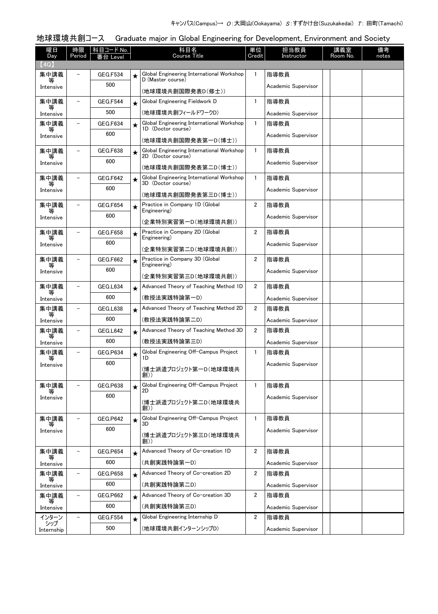# 地球環境共創コース Graduate major in Global Engineering for Development, Environment and Society

| 曜日             | 時限                       | 科目コード No.       |         | 科目名                                                             | 単位             | 担当教員                | 講義室      | 備考    |
|----------------|--------------------------|-----------------|---------|-----------------------------------------------------------------|----------------|---------------------|----------|-------|
| Day            | Period                   | 番台 Level        |         | <b>Course Title</b>                                             | Credit         | Instructor          | Room No. | notes |
| (4Q)           |                          |                 |         |                                                                 |                |                     |          |       |
| 集中講義<br>等      |                          | <b>GEG.F534</b> | ★       | Global Engineering International Workshop<br>D (Master course)  | 1              | 指導教員                |          |       |
| Intensive      |                          | 500             |         | (地球環境共創国際発表D(修士))                                               |                | Academic Supervisor |          |       |
| 集中講義           |                          | GEG.F544        | ★       | Global Engineering Fieldwork D                                  | $\mathbf{1}$   | 指導教員                |          |       |
| 等<br>Intensive |                          | 500             |         | (地球環境共創フィールドワークD)                                               |                | Academic Supervisor |          |       |
| 集中講義           |                          | GEG.F634        | $\star$ | Global Engineering International Workshop                       | $\mathbf{1}$   | 指導教員                |          |       |
| Intensive      |                          | 600             |         | 1D (Doctor course)                                              |                | Academic Supervisor |          |       |
|                |                          |                 |         | (地球環境共創国際発表第一D(博士))                                             |                |                     |          |       |
| 集中講義           |                          | GEG.F638        | ★       | Global Engineering International Workshop<br>2D (Doctor course) | $\mathbf{1}$   | 指導教員                |          |       |
| Intensive      |                          | 600             |         | (地球環境共創国際発表第二D(博士))                                             |                | Academic Supervisor |          |       |
| 集中講義           |                          | GEG.F642        | ★       | Global Engineering International Workshop<br>3D (Doctor course) | $\mathbf{1}$   | 指導教員                |          |       |
| Intensive      |                          | 600             |         |                                                                 |                | Academic Supervisor |          |       |
| 集中講義           |                          | <b>GEG.F654</b> |         | (地球環境共創国際発表第三D(博士))<br>Practice in Company 1D (Global           | $\overline{2}$ | 指導教員                |          |       |
|                |                          | 600             | ★       | Engineering)                                                    |                |                     |          |       |
| Intensive      |                          |                 |         | (企業特別実習第一D(地球環境共創))                                             |                | Academic Supervisor |          |       |
| 集中講義<br>等      |                          | <b>GEG.F658</b> | ★       | Practice in Company 2D (Global<br>Engineering)                  | 2              | 指導教員                |          |       |
| Intensive      |                          | 600             |         | (企業特別実習第二D(地球環境共創))                                             |                | Academic Supervisor |          |       |
| 集中講義           |                          | <b>GEG.F662</b> |         | Practice in Company 3D (Global                                  | 2              | 指導教員                |          |       |
|                |                          | 600             | ★       | Engineering)                                                    |                | Academic Supervisor |          |       |
| Intensive      |                          |                 |         | (企業特別実習第三D(地球環境共創))                                             |                |                     |          |       |
| 集中講義           |                          | GEG.L634        | $\star$ | Advanced Theory of Teaching Method 1D                           | 2              | 指導教員                |          |       |
| Intensive      |                          | 600             |         | (教授法実践特論第一D)                                                    |                | Academic Supervisor |          |       |
| 集中講義<br>等      |                          | <b>GEG.L638</b> | $\star$ | Advanced Theory of Teaching Method 2D                           | 2              | 指導教員                |          |       |
| Intensive      |                          | 600             |         | (教授法実践特論第二D)                                                    |                | Academic Supervisor |          |       |
| 集中講義           |                          | GEG.L642        | ★       | Advanced Theory of Teaching Method 3D                           | 2              | 指導教員                |          |       |
| Intensive      |                          | 600             |         | (教授法実践特論第三D)                                                    |                | Academic Supervisor |          |       |
| 集中講義           |                          | <b>GEG.P634</b> | $\star$ | Global Engineering Off-Campus Project<br>1D                     | $\mathbf{1}$   | 指導教員                |          |       |
| Intensive      |                          | 600             |         | (博士派遣プロジェクト第一D(地球環境共                                            |                | Academic Supervisor |          |       |
|                |                          |                 |         | 創))                                                             |                |                     |          |       |
| 集中講義<br>等      | $\overline{\phantom{0}}$ | <b>GEG.P638</b> | ★       | Global Engineering Off-Campus Project<br>2D                     | $\mathbf{1}$   | 指導教員                |          |       |
| Intensive      |                          | 600             |         | (博士派遣プロジェクト第二D(地球環境共                                            |                | Academic Supervisor |          |       |
|                |                          |                 |         | 創))                                                             |                |                     |          |       |
| 集中講義           |                          | <b>GEG.P642</b> | $\star$ | Global Engineering Off-Campus Project<br>3D                     | 1              | 指導教員                |          |       |
| Intensive      |                          | 600             |         | (博士派遣プロジェクト第三D(地球環境共                                            |                | Academic Supervisor |          |       |
|                |                          |                 |         | 創))                                                             |                |                     |          |       |
| 集中講義<br>等      | $\equiv$                 | <b>GEG.P654</b> | $\star$ | Advanced Theory of Co-creation 1D                               | 2              | 指導教員                |          |       |
| Intensive      |                          | 600             |         | (共創実践特論第一D)                                                     |                | Academic Supervisor |          |       |
| 集中講義           |                          | GEG.P658        | ★       | Advanced Theory of Co-creation 2D                               | 2              | 指導教員                |          |       |
| Intensive      |                          | 600             |         | (共創実践特論第二D)                                                     |                | Academic Supervisor |          |       |
| 集中講義<br>等      | $\overline{\phantom{0}}$ | GEG.P662        | $\star$ | Advanced Theory of Co-creation 3D                               | 2              | 指導教員                |          |       |
| Intensive      |                          | 600             |         | (共創実践特論第三D)                                                     |                | Academic Supervisor |          |       |
| インターン<br>シップ   |                          | <b>GEG.F554</b> | $\star$ | Global Engineering Internship D                                 | 2              | 指導教員                |          |       |
| Internship     |                          | 500             |         | (地球環境共創インターンシップD)                                               |                | Academic Supervisor |          |       |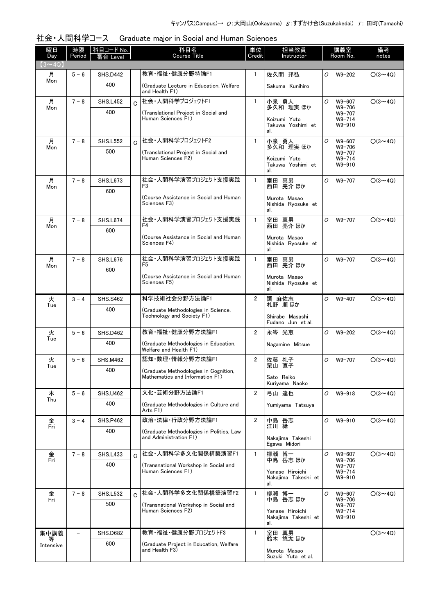|  | 社会・人間科学コース  Graduate major in Social and Human Sciences |  |
|--|---------------------------------------------------------|--|
|--|---------------------------------------------------------|--|

| 曜日<br>Day     | 時限<br>Period | │科目コード No. │<br>番台 Level |                | 科目名<br><b>Course Title</b>                                               | 単位<br>Credit          | 担当教員<br>Instructor                                    |   | 講義室<br>Room No.                              | 備考<br>notes    |
|---------------|--------------|--------------------------|----------------|--------------------------------------------------------------------------|-----------------------|-------------------------------------------------------|---|----------------------------------------------|----------------|
| $(3 \sim 4Q)$ |              |                          |                |                                                                          |                       |                                                       |   |                                              |                |
| 月             | $5 - 6$      | <b>SHS.D442</b>          |                | 教育·福祉·健康分野特論F1                                                           | $\mathbf{1}$          | 佐久間 邦弘                                                | 0 | $W9 - 202$                                   | $O(3 \sim 4Q)$ |
| Mon           |              | 400                      |                | (Graduate Lecture in Education, Welfare<br>and Health F1)                |                       | Sakuma Kunihiro                                       |   |                                              |                |
| 月<br>Mon      | $7 - 8$      | <b>SHS.L452</b>          | $\overline{C}$ | 社会·人間科学プロジェクトF1                                                          | $\mathbf{1}$          | 小泉 勇人<br>多久和 理実 ほか                                    | 0 | W9-607<br>$W9 - 706$                         | $O(3 \sim 4Q)$ |
|               |              | 400                      |                | (Translational Project in Social and<br>Human Sciences F1)               |                       | Koizumi Yuto<br>Takuwa Yoshimi et<br>al.              |   | W9-707<br>$W9 - 714$<br>$W9 - 910$           |                |
| 月             | $7 - 8$      | <b>SHS.L552</b>          | C.             | 社会・人間科学プロジェクトF2                                                          | $\mathbf{1}$          | 小泉 勇人                                                 | 0 | W9-607                                       | $O(3 \sim 4Q)$ |
| Mon           |              | 500                      |                | (Translational Project in Social and<br>Human Sciences F2)               |                       | 多久和 理実 ほか<br>Koizumi Yuto<br>Takuwa Yoshimi et<br>al. |   | $W9 - 706$<br>W9-707<br>$W9 - 714$<br>W9-910 |                |
| 月             | $7 - 8$      | <b>SHS.L673</b>          |                | 社会・人間科学演習プロジェクト支援実践                                                      | $\mathbf{1}$          | 室田 真男                                                 | 0 | W9-707                                       | $O(3 \sim 4Q)$ |
| Mon           |              | 600                      |                | F3                                                                       |                       | 西田 亮介 ほか                                              |   |                                              |                |
|               |              |                          |                | (Course Assistance in Social and Human<br>Sciences F3)                   |                       | Murota Masao<br>Nishida Ryosuke et<br>al.             |   |                                              |                |
| 月<br>Mon      | $7 - 8$      | <b>SHS.L674</b>          |                | 社会・人間科学演習プロジェクト支援実践<br>F4                                                | $\mathbf{1}$          | 室田 真男<br>西田 亮介 ほか                                     | 0 | W9-707                                       | $O(3 \sim 4Q)$ |
|               |              | 600                      |                | (Course Assistance in Social and Human<br>Sciences F4)                   |                       | Murota Masao<br>Nishida Ryosuke et<br>al.             |   |                                              |                |
| 月             | $7 - 8$      | <b>SHS.L676</b>          |                | 社会・人間科学演習プロジェクト支援実践<br>F5.                                               | $\mathbf{1}$          | 室田 真男<br>西田 亮介 ほか                                     | 0 | W9-707                                       | $O(3 \sim 4Q)$ |
| Mon           |              | 600                      |                | (Course Assistance in Social and Human                                   |                       |                                                       |   |                                              |                |
|               |              |                          |                | Sciences F5)                                                             |                       | Murota Masao<br>Nishida Ryosuke et<br>al.             |   |                                              |                |
| 火<br>Tue      | $3 - 4$      | <b>SHS.S462</b>          |                | 科学技術社会分野方法論F1                                                            | $\overline{2}$        | 調 麻佐志<br>札野 順ほか                                       | 0 | $W9 - 407$                                   | $O(3 \sim 4Q)$ |
|               |              | 400                      |                | (Graduate Methodologies in Science,<br>Technology and Society F1)        |                       | Shirabe Masashi<br>Fudano Jun et al.                  |   |                                              |                |
| 火             | $5 - 6$      | <b>SHS.D462</b>          |                | 教育·福祉·健康分野方法論F1                                                          | $\mathbf{2}^{\prime}$ | 永岑 光恵                                                 | 0 | $W9 - 202$                                   | $O(3 \sim 4Q)$ |
| Tue           |              | 400                      |                | (Graduate Methodologies in Education,<br>Welfare and Health F1)          |                       | Nagamine Mitsue                                       |   |                                              |                |
| 火<br>Tue      | $5 - 6$      | <b>SHS.M462</b>          |                | 認知·数理·情報分野方法論F1                                                          | $\overline{2}$        | 佐藤 礼子<br>栗山 直子                                        | 0 | W9-707                                       | $O(3 \sim 4Q)$ |
|               |              | 400                      |                | (Graduate Methodologies in Cognition,<br>Mathematics and Information F1) |                       | Sato Reiko<br>Kuriyama Naoko                          |   |                                              |                |
| 木             | $5 - 6$      | <b>SHS.U462</b>          |                | 文化·芸術分野方法論F1                                                             | $\overline{2}$        | 弓山 達也                                                 | 0 | $W9 - 918$                                   | $O(3 \sim 4Q)$ |
| Thu           |              | 400                      |                | (Graduate Methodologies in Culture and<br>Arts F1)                       |                       | Yumivama Tatsuva                                      |   |                                              |                |
| 金<br>Fri      | $3 - 4$      | <b>SHS.P462</b>          |                | 政治·法律·行政分野方法論F1                                                          | $\overline{2}$        | 中島 岳志<br>江川 緑                                         | 0 | W9-910                                       | $O(3 \sim 4Q)$ |
|               |              | 400                      |                | (Graduate Methodologies in Politics, Law<br>and Administration F1)       |                       | Nakajima Takeshi<br>Egawa Midori                      |   |                                              |                |
| 金             | $7 - 8$      | <b>SHS.L433</b>          | Ć              | 社会·人間科学多文化関係構築演習F1                                                       | $\mathbf{1}$          | 柳瀬 博一                                                 | 0 | W9-607                                       | $O(3 \sim 4Q)$ |
| Fri           |              | 400                      |                | (Transnational Workshop in Social and                                    |                       | 中島 岳志 ほか                                              |   | W9-706<br>W9-707                             |                |
|               |              |                          |                | Human Sciences F1)                                                       |                       | Yanase Hiroichi<br>Nakajima Takeshi et<br>al.         |   | $W9 - 714$<br>W9-910                         |                |
| 金<br>Fri      | $7 - 8$      | <b>SHS.L532</b>          | $\overline{C}$ | 社会·人間科学多文化関係構築演習F2                                                       | $\mathbf{1}$          | 柳瀬 博一<br>中島 岳志 ほか                                     | 0 | W9-607<br>W9-706                             | $O(3 \sim 4Q)$ |
|               |              | 500                      |                | (Transnational Workshop in Social and<br>Human Sciences F2)              |                       | Yanase Hiroichi<br>Nakajima Takeshi et<br>al.         |   | W9-707<br>$W9 - 714$<br>W9-910               |                |
| 集中講義          |              | <b>SHS.D682</b>          |                | 教育・福祉・健康分野プロジェクトF3                                                       | 1                     | 室田 真男<br>鈴木 悠太 ほか                                     |   |                                              | $O(3 \sim 4Q)$ |
| Intensive     |              | 600                      |                | (Graduate Project in Education, Welfare<br>and Health F3)                |                       | Murota Masao<br>Suzuki Yuta et al.                    |   |                                              |                |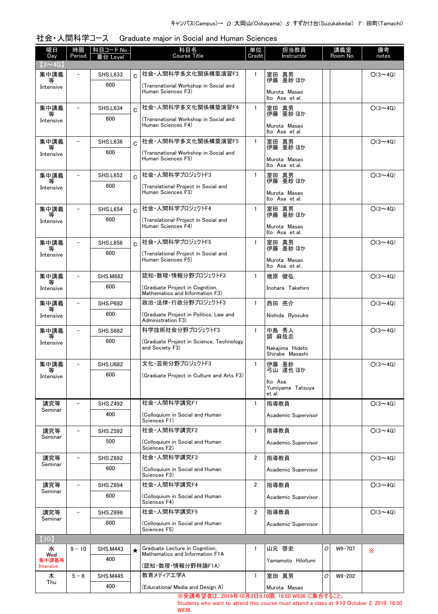| 曜日<br>Day          | 時限<br>Period             | 科目コード No.       |             | 科目名<br><b>Course Title</b>                                         | 単位<br>Credit   | 担当教員<br>Instructor                          |   | 講義室<br>Room No. | 備考<br>notes    |
|--------------------|--------------------------|-----------------|-------------|--------------------------------------------------------------------|----------------|---------------------------------------------|---|-----------------|----------------|
| $(3 \sim 4Q)$      |                          | 台 Level         |             |                                                                    |                |                                             |   |                 |                |
| 集中講義               |                          | <b>SHS.L633</b> | $\mathbf C$ | 社会·人間科学多文化関係構築演習F3                                                 | $\mathbf{1}$   | 室田 真男<br>伊藤 亜紗 ほか                           |   |                 | $O(3 \sim 4Q)$ |
| Intensive          |                          | 600             |             | (Transnational Workshop in Social and<br>Human Sciences F3)        |                | Murota Masao<br>Ito Asa et al.              |   |                 |                |
| 集中講義               | $\overline{\phantom{m}}$ | SHS.L634        | $\Omega$    | 社会·人間科学多文化関係構築演習F4                                                 | $\mathbf{1}$   | 室田 真男                                       |   |                 | $O(3 \sim 4Q)$ |
| 等<br>Intensive     |                          | 600             |             | (Transnational Workshop in Social and<br>Human Sciences F4)        |                | 伊藤 亜紗 ほか<br>Murota Masao<br>Ito Asa et al.  |   |                 |                |
| 集中講義               |                          | <b>SHS.L636</b> | $\mathbf C$ | 社会·人間科学多文化関係構築演習F5                                                 | $\mathbf{1}$   | 室田 真男                                       |   |                 | $O(3 \sim 4Q)$ |
| Intensive          |                          | 600             |             | (Transnational Workshop in Social and<br>Human Sciences F5)        |                | 伊藤 亜紗 ほか<br>Murota Masao<br>Ito Asa et al.  |   |                 |                |
| 集中講義               |                          | <b>SHS.L652</b> | $\Omega$    | 社会·人間科学プロジェクトF3                                                    | $\mathbf{1}$   | 室田 真男                                       |   |                 | $O(3 \sim 4Q)$ |
| Intensive          |                          | 600             |             | (Translational Project in Social and<br>Human Sciences F3)         |                | 伊藤 亜紗 ほか<br>Murota Masao<br>Ito Asa et al.  |   |                 |                |
| 集中講義<br>等          | $\overline{\phantom{m}}$ | <b>SHS.L654</b> | $\Omega$    | 社会·人間科学プロジェクトF4                                                    | $\mathbf{1}$   | 室田 真男<br>伊藤 亜紗 ほか                           |   |                 | $O(3 \sim 4Q)$ |
| Intensive          |                          | 600             |             | (Translational Proiect in Social and<br>Human Sciences F4)         |                | Murota Masao<br>Ito Asa et al.              |   |                 |                |
| 集中講義               |                          | <b>SHS.L656</b> | $\mathbf C$ | 社会・人間科学プロジェクトF5                                                    | $\mathbf{1}$   | 室田 真男<br>伊藤 亜紗 ほか                           |   |                 | $O(3 \sim 4Q)$ |
| Intensive          |                          | 600             |             | (Translational Project in Social and<br>Human Sciences F5)         |                | Murota Masao<br>Ito Asa et al.              |   |                 |                |
| 集中講義               |                          | <b>SHS.M682</b> |             | 認知・数理・情報分野プロジェクトF3                                                 | $\mathbf{1}$   | 猪原 健弘                                       |   |                 | $O(3 \sim 4Q)$ |
| Intensive          |                          | 600             |             | (Graduate Project in Cognition,<br>Mathematics and Information F3) |                | Inohara Takehiro                            |   |                 |                |
| 集中講義               |                          | <b>SHS.P682</b> |             | 政治・法律・行政分野プロジェクトF3                                                 | $\mathbf{1}$   | 西田 亮介                                       |   |                 | $O(3 \sim 4Q)$ |
| Intensive          |                          | 600             |             | (Graduate Project in Politics, Law and<br>Administration F3)       |                | Nishida Ryosuke                             |   |                 |                |
| 集中講義               |                          | <b>SHS.S682</b> |             | 科学技術社会分野プロジェクトF3                                                   | 1              | 中島 秀人                                       |   |                 | $O(3 \sim 4Q)$ |
| Intensive          |                          | 600             |             | (Graduate Project in Science, Technology)<br>and Society F3)       |                | 調 麻佐志<br>Nakajima Hideto<br>Shirabe Masashi |   |                 |                |
| 集中講義               |                          | <b>SHS.U682</b> |             | 文化・芸術分野プロジェクトF3                                                    | $\mathbf{1}$   | 伊藤 亜紗<br>弓山 達也 ほか                           |   |                 | $O(3 \sim 4Q)$ |
| Intensive          |                          | 600             |             | (Graduate Project in Culture and Arts F3)                          |                | Ito Asa<br>Yumiyama Tatsuya<br>et al.       |   |                 |                |
| 講究等                |                          | <b>SHS.Z492</b> |             | 社会·人間科学講究F1                                                        | $\mathbf{1}$   | 指導教員                                        |   |                 | $O(3 \sim 4Q)$ |
| Seminar            |                          | 400             |             | (Colloquium in Social and Human<br>Sciences F1)                    |                | Academic Supervisor                         |   |                 |                |
| 講究等<br>Seminar     |                          | <b>SHS.Z592</b> |             | 社会·人間科学講究F2                                                        | 1              | 指導教員                                        |   |                 | $O(3 \sim 4Q)$ |
|                    |                          | 500             |             | (Colloquium in Social and Human<br>Sciences F2)                    |                | Academic Supervisor                         |   |                 |                |
| 講究等                |                          | <b>SHS.Z692</b> |             | 社会·人間科学講究F3                                                        | 2              | 指導教員                                        |   |                 | $O(3 \sim 4Q)$ |
| Seminar            |                          | 600             |             | (Colloquium in Social and Human<br>Sciences F3)                    |                | Academic Supervisor                         |   |                 |                |
| 講究等<br>Seminar     |                          | <b>SHS.Z694</b> |             | 社会·人間科学講究F4                                                        | $\overline{2}$ | 指導教員                                        |   |                 | $O(3 \sim 4Q)$ |
|                    |                          | 600             |             | (Colloquium in Social and Human<br>Sciences F4)                    |                | Academic Supervisor                         |   |                 |                |
| 講究等<br>Seminar     |                          | <b>SHS.Z696</b> |             | 社会·人間科学講究F5                                                        | $\overline{2}$ | 指導教員                                        |   |                 | $O(3 \sim 4Q)$ |
|                    |                          | 600             |             | (Colloquium in Social and Human<br>Sciences F5)                    |                | Academic Supervisor                         |   |                 |                |
| (3Q)               |                          |                 |             |                                                                    |                |                                             |   |                 |                |
| 来<br><b>Wed</b>    | $9 - 10$                 | <b>SHS.M443</b> | $\star$     | Graduate Lecture in Cognition,<br>Mathematics and Information F1A  | 1              | 山元 啓史                                       | O | W9-707          | X              |
| 集中講義等<br>Intensive |                          | 400             |             | (認知・数理・情報分野特論F1A)                                                  |                | Yamamoto Hilofumi                           |   |                 |                |
| 木                  | $5 - 6$                  | <b>SHS.M445</b> |             | 教育メディアエ学A                                                          | $\mathbf{1}$   | 室田 真男                                       | 0 | $W9 - 202$      |                |
| Thu                |                          | 400             |             | (Educational Media and Design A)                                   |                | Murota Masao                                |   |                 |                |

| 社会・人間科学コース  Graduate major in Social and Human Sciences . |  |  |  |
|-----------------------------------------------------------|--|--|--|
|                                                           |  |  |  |

※受講希望者は、2019年10月2日9,10限, 16:50 W936 に集合すること。

Students who want to attend this course must attend a class at 9:10 October 2, 2019, 16:50 W936.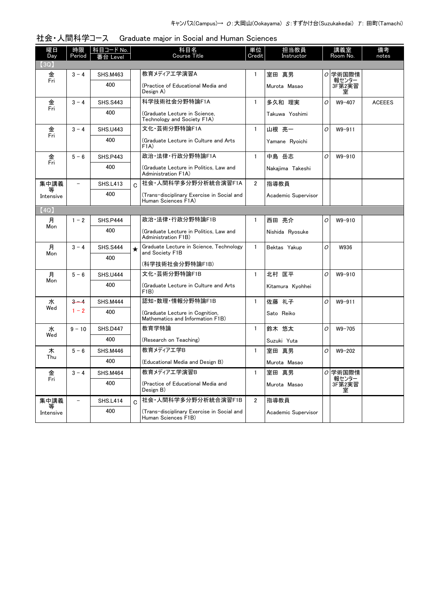| 曜日<br>Day      | 時限<br>Period             | 科目コード No.  <br>番台 Level |             | 科目名<br><b>Course Title</b>                                          | 単位<br>Credit   | 担当教員<br>Instructor  |   | 講義室<br>Room No.      | 備考<br>notes   |
|----------------|--------------------------|-------------------------|-------------|---------------------------------------------------------------------|----------------|---------------------|---|----------------------|---------------|
| (3Q)           |                          |                         |             |                                                                     |                |                     |   |                      |               |
| 金              | $3 - 4$                  | <b>SHS.M463</b>         |             | 教育メディアエ学演習A                                                         | 1              | 室田 真男               |   | 0 学術国際情              |               |
| Fri            |                          | 400                     |             | (Practice of Educational Media and<br>Design A)                     |                | Murota Masao        |   | 報センター<br>3F第2実習<br>室 |               |
| 金              | $3 - 4$                  | <b>SHS.S443</b>         |             | 科学技術社会分野特論F1A                                                       | $\mathbf{1}$   | 多久和 理実              | 0 | W9-407               | <b>ACEEES</b> |
| Fri            |                          | 400                     |             | (Graduate Lecture in Science.<br>Technology and Society F1A)        |                | Takuwa Yoshimi      |   |                      |               |
| 金              | $3 - 4$                  | <b>SHS.U443</b>         |             | 文化·芸術分野特論F1A                                                        | $\mathbf{1}$   | 山根 亮一               | O | $W9 - 911$           |               |
| Fri            |                          | 400                     |             | (Graduate Lecture in Culture and Arts<br>F1A)                       |                | Yamane Ryoichi      |   |                      |               |
| 金              | $5 - 6$                  | <b>SHS.P443</b>         |             | 政治·法律·行政分野特論F1A                                                     | $\mathbf{1}$   | 中島 岳志               | O | W9-910               |               |
| Fri            |                          | 400                     |             | (Graduate Lecture in Politics, Law and<br>Administration F1A)       |                | Nakaiima Takeshi    |   |                      |               |
| 集中講義           | $\overline{\phantom{0}}$ | <b>SHS.L413</b>         | C           | 社会·人間科学多分野分析統合演習F1A                                                 | $\overline{2}$ | 指導教員                |   |                      |               |
| 等<br>Intensive |                          | 400                     |             | (Trans-disciplinary Exercise in Social and<br>Human Sciences F1A)   |                | Academic Supervisor |   |                      |               |
| (4Q)           |                          |                         |             |                                                                     |                |                     |   |                      |               |
| 月              | $1 - 2$                  | <b>SHS.P444</b>         |             | 政治·法律·行政分野特論F1B                                                     | $\mathbf{1}$   | 西田 亮介               | 0 | W9-910               |               |
| Mon            |                          | 400                     |             | (Graduate Lecture in Politics, Law and<br>Administration F1B)       |                | Nishida Ryosuke     |   |                      |               |
| 月              | $3 - 4$                  | <b>SHS.S444</b>         | $\star$     | Graduate Lecture in Science, Technology<br>and Society F1B          | $\mathbf{1}$   | Bektas Yakup        | O | W936                 |               |
| Mon            |                          | 400                     |             |                                                                     |                |                     |   |                      |               |
|                |                          |                         |             | (科学技術社会分野特論F1B)                                                     |                |                     |   |                      |               |
| 月<br>Mon       | $5 - 6$                  | <b>SHS.U444</b>         |             | 文化·芸術分野特論F1B                                                        | $\mathbf{1}$   | 北村 匡平               | 0 | W9-910               |               |
|                |                          | 400                     |             | (Graduate Lecture in Culture and Arts<br>F1B)                       |                | Kitamura Kyohhei    |   |                      |               |
| 水<br>Wed       | $3 - 4$                  | <b>SHS.M444</b>         |             | 認知・数理・情報分野特論F1B                                                     | $\mathbf{1}$   | 佐藤 礼子               | O | $W9 - 911$           |               |
|                | $1 - 2$                  | 400                     |             | (Graduate Lecture in Cognition,<br>Mathematics and Information F1B) |                | Sato Reiko          |   |                      |               |
| 水              | $9 - 10$                 | <b>SHS.D447</b>         |             | 教育学特論                                                               | $\mathbf{1}$   | 鈴木 悠太               | O | $W9 - 705$           |               |
| Wed            |                          | 400                     |             | (Research on Teaching)                                              |                | Suzuki Yuta         |   |                      |               |
| 木              | $5 - 6$                  | <b>SHS.M446</b>         |             | 教育メディアエ学B                                                           | $\mathbf{1}$   | 室田 真男               | O | $W9 - 202$           |               |
| Thu            |                          | 400                     |             | (Educational Media and Design B)                                    |                | Murota Masao        |   |                      |               |
| 金              | $3 - 4$                  | <b>SHS.M464</b>         |             | 教育メディアエ学演習B                                                         | $\mathbf{1}$   | 室田 真男               |   | 0 学術国際情              |               |
| Fri            |                          | 400                     |             | (Practice of Educational Media and<br>Design B)                     |                | Murota Masao        |   | 報センター<br>3F第2実習<br>室 |               |
| 集中講義           | $\overline{a}$           | <b>SHS.L414</b>         | $\mathbf C$ | 社会·人間科学多分野分析統合演習F1B                                                 | $\overline{2}$ | 指導教員                |   |                      |               |
| Intensive      |                          | 400                     |             | (Trans-disciplinary Exercise in Social and<br>Human Sciences F1B)   |                | Academic Supervisor |   |                      |               |

社会・人間科学コース Graduate major in Social and Human Sciences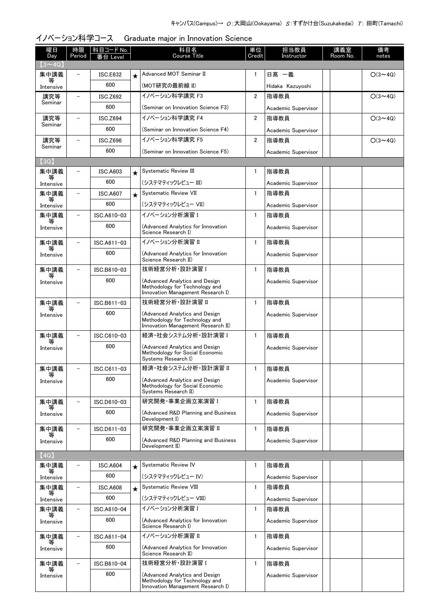| イノベーション科学コース Graduate major in Innovation Science |  |
|---------------------------------------------------|--|
|---------------------------------------------------|--|

| 曜日<br>Day      | 時限<br>Period             | 科目コード No.<br>番台 Level |          | 科目名<br><b>Course Title</b>                                                                             | 単位<br>Credit   | 担当教員<br>Instructor  | 講義室<br>Room No. | 備考<br>notes    |
|----------------|--------------------------|-----------------------|----------|--------------------------------------------------------------------------------------------------------|----------------|---------------------|-----------------|----------------|
| $(3 \sim 4Q)$  |                          |                       |          |                                                                                                        |                |                     |                 |                |
| 集中講義<br>等      |                          | <b>ISC.E632</b>       | $^\star$ | Advanced MOT Seminar II                                                                                | 1              | 日髙 一義               |                 | $O(3 \sim 4Q)$ |
| Intensive      |                          | 600                   |          | (MOT研究の最前線 II)                                                                                         |                | Hidaka Kazuyoshi    |                 |                |
| 講究等<br>Seminar | $\overline{\phantom{0}}$ | <b>ISC.Z692</b>       |          | イノベーション科学講究 F3                                                                                         | $\overline{2}$ | 指導教員                |                 | $O(3 \sim 4Q)$ |
|                |                          | 600                   |          | (Seminar on Innovation Science F3)                                                                     |                | Academic Supervisor |                 |                |
| 講究等<br>Seminar | $\overline{\phantom{0}}$ | <b>ISC.Z694</b>       |          | イノベーション科学講究 F4                                                                                         | $\overline{2}$ | 指導教員                |                 | $O(3 \sim 4Q)$ |
|                |                          | 600                   |          | (Seminar on Innovation Science F4)                                                                     |                | Academic Supervisor |                 |                |
| 講究等<br>Seminar | $\equiv$                 | <b>ISC.Z696</b>       |          | イノベーション科学講究 F5                                                                                         | $\overline{2}$ | 指導教員                |                 | $O(3 \sim 4Q)$ |
|                |                          | 600                   |          | (Seminar on Innovation Science F5)                                                                     |                | Academic Supervisor |                 |                |
| $3Q$ ]         |                          |                       |          |                                                                                                        |                |                     |                 |                |
| 集中講義<br>等      |                          | <b>ISC.A603</b>       | $\star$  | Systematic Review III                                                                                  | 1              | 指導教員                |                 |                |
| Intensive      |                          | 600                   |          | (システマティックレビュー III)                                                                                     |                | Academic Supervisor |                 |                |
| 集中講義<br>等      | ۳                        | <b>ISC.A607</b>       | $\star$  | Systematic Review VII                                                                                  | $\mathbf{1}$   | 指導教員                |                 |                |
| Intensive      |                          | 600                   |          | (システマティックレビュー VII)                                                                                     |                | Academic Supervisor |                 |                |
| 集中講義           |                          | ISC.A610-03           |          | イノベーション分析演習 I                                                                                          | $\mathbf{1}$   | 指導教員                |                 |                |
| Intensive      |                          | 600                   |          | (Advanced Analytics for Innovation<br>Science Research I)                                              |                | Academic Supervisor |                 |                |
| 集中講義           |                          | ISC.A611-03           |          | イノベーション分析演習 Ⅱ                                                                                          | $\mathbf{1}$   | 指導教員                |                 |                |
| Intensive      |                          | 600                   |          | (Advanced Analytics for Innovation<br>Science Research II)                                             |                | Academic Supervisor |                 |                |
| 集中講義           |                          | ISC.B610-03           |          | 技術経営分析·設計演習 I                                                                                          | $\mathbf{1}$   | 指導教員                |                 |                |
| Intensive      |                          | 600                   |          | (Advanced Analytics and Design<br>Methodology for Technology and<br>Innovation Management Research I)  |                | Academic Supervisor |                 |                |
| 集中講義           | $\equiv$                 | ISC.B611-03           |          | 技術経営分析·設計演習 II                                                                                         | $\mathbf{1}$   | 指導教員                |                 |                |
| 等<br>Intensive |                          | 600                   |          | (Advanced Analytics and Design<br>Methodology for Technology and<br>Innovation Management Research II) |                | Academic Supervisor |                 |                |
| 集中講義           |                          | ISC.C610-03           |          | 経済・社会システム分析・設計演習 I                                                                                     | $\mathbf{1}$   | 指導教員                |                 |                |
| Intensive      |                          | 600                   |          | (Advanced Analytics and Design<br>Methodology for Social Economic<br>Systems Research I)               |                | Academic Supervisor |                 |                |
| 集中講義           |                          | ISC.C611-03           |          | 経済·社会システム分析·設計演習 II                                                                                    |                | 指導教員                |                 |                |
| Intensive      |                          | 600                   |          | (Advanced Analytics and Design<br>Methodology for Social Economic<br>Systems Research II)              |                | Academic Supervisor |                 |                |
| 集中講義           |                          | ISC.D610-03           |          | 研究開発・事業企画立案演習 I                                                                                        | $\mathbf{1}$   | 指導教員                |                 |                |
| 等<br>Intensive |                          | 600                   |          | (Advanced R&D Planning and Business<br>Development I)                                                  |                | Academic Supervisor |                 |                |
| 集中講義           | $\overline{\phantom{0}}$ | ISC.D611-03           |          | 研究開発·事業企画立案演習 II                                                                                       | $\mathbf{1}$   | 指導教員                |                 |                |
| 等<br>Intensive |                          | 600                   |          | (Advanced R&D Planning and Business<br>Development II)                                                 |                | Academic Supervisor |                 |                |
| (4Q)           |                          |                       |          |                                                                                                        |                |                     |                 |                |
| 集中講義           |                          | <b>ISC.A604</b>       | $\star$  | Systematic Review IV                                                                                   | 1              | 指導教員                |                 |                |
| Intensive      |                          | 600                   |          | (システマティックレビュー IV)                                                                                      |                | Academic Supervisor |                 |                |
| 集中講義<br>等      |                          | <b>ISC.A608</b>       | $\star$  | <b>Systematic Review VIII</b>                                                                          | 1              | 指導教員                |                 |                |
| Intensive      |                          | 600                   |          | (システマティックレビュー VIII)                                                                                    |                | Academic Supervisor |                 |                |
| 集中講義           |                          | ISC.A610-04           |          | イノベーション分析演習 I                                                                                          | $\mathbf{1}$   | 指導教員                |                 |                |
| Intensive      |                          | 600                   |          | (Advanced Analytics for Innovation<br>Science Research I)                                              |                | Academic Supervisor |                 |                |
| 集中講義           |                          | ISC.A611-04           |          | イノベーション分析演習 II                                                                                         | $\mathbf{1}$   | 指導教員                |                 |                |
| Intensive      |                          | 600                   |          | (Advanced Analytics for Innovation<br>Science Research II)                                             |                | Academic Supervisor |                 |                |
| 集中講義           | $\overline{\phantom{0}}$ | ISC.B610-04           |          | 技術経営分析·設計演習 I                                                                                          | $\mathbf{1}$   | 指導教員                |                 |                |
| 等<br>Intensive |                          | 600                   |          | (Advanced Analytics and Design<br>Methodology for Technology and<br>Innovation Management Research I)  |                | Academic Supervisor |                 |                |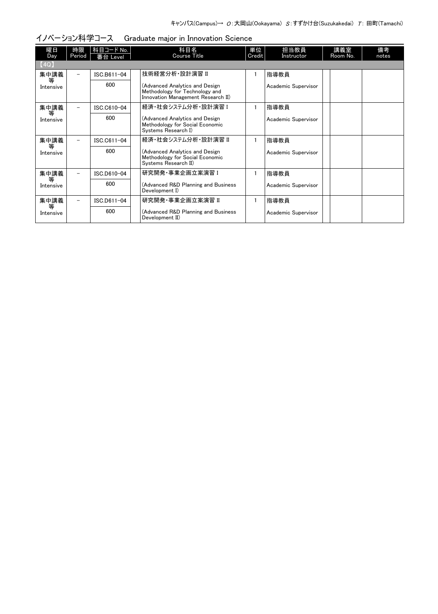| 曜日             | 時限                       | 科目コード No.   | 科目名                                                                                                    | 単位     | 担当教員                | 講義室      | 備考    |
|----------------|--------------------------|-------------|--------------------------------------------------------------------------------------------------------|--------|---------------------|----------|-------|
| Day            | Period                   | 番台 Level    | <b>Course Title</b>                                                                                    | Credit | Instructor          | Room No. | notes |
| (4Q)           |                          |             |                                                                                                        |        |                     |          |       |
| 集中講義           | Ξ.                       | ISC.B611-04 | 技術経営分析·設計演習 II                                                                                         |        | 指導教員                |          |       |
| 等<br>Intensive |                          | 600         | (Advanced Analytics and Design<br>Methodology for Technology and<br>Innovation Management Research II) |        | Academic Supervisor |          |       |
| 集中講義           |                          | ISC.C610-04 | 経済・社会システム分析・設計演習 I                                                                                     |        | 指導教員                |          |       |
| 等<br>Intensive |                          | 600         | (Advanced Analytics and Design<br>Methodology for Social Economic<br>Systems Research I)               |        | Academic Supervisor |          |       |
| 集中講義           |                          | ISC.C611-04 | 経済・社会システム分析・設計演習 Ⅱ                                                                                     |        | 指導教員                |          |       |
| 等<br>Intensive |                          | 600         | (Advanced Analytics and Design<br>Methodology for Social Economic<br>Systems Research II)              |        | Academic Supervisor |          |       |
| 集中講義           |                          | ISC.D610-04 | 研究開発·事業企画立案演習 I                                                                                        |        | 指導教員                |          |       |
| 等<br>Intensive |                          | 600         | (Advanced R&D Planning and Business<br>Development I)                                                  |        | Academic Supervisor |          |       |
| 集中講義           | $\overline{\phantom{0}}$ | ISC.D611-04 | 研究開発 事業企画立案演習 Ⅱ                                                                                        |        | 指導教員                |          |       |
| 等<br>Intensive |                          | 600         | (Advanced R&D Planning and Business<br>Development II)                                                 |        | Academic Supervisor |          |       |

## イノベーション科学コース Graduate major in Innovation Science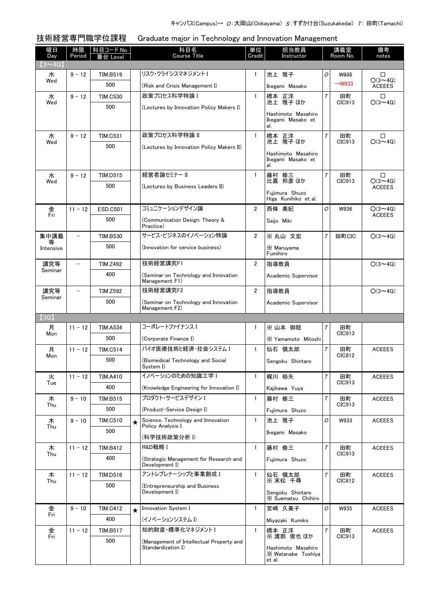技術経営専門職学位課程 Graduate major in Technology and Innovation Management

| 曜日<br>Day      | 時限<br>Period             | 科目コード No.<br>番台 Level |         | 科目名<br><b>Course Title</b>                               | 単位<br>Credit   | 担当教員<br>Instructor                                 |        | 講義室<br>Room No.    | 備考<br>notes                     |
|----------------|--------------------------|-----------------------|---------|----------------------------------------------------------|----------------|----------------------------------------------------|--------|--------------------|---------------------------------|
| $(3 \sim 4Q)$  |                          |                       |         |                                                          |                |                                                    |        |                    |                                 |
| 水<br>Wed       | $9 - 12$                 | <b>TIM.B519</b>       |         | リスク・クライシスマネジメント I                                        | 1              | 池上 雅子                                              | 0      | <b>W935</b>        | □<br>$O(3 \sim 4Q)$             |
|                |                          | 500                   |         | (Risk and Crisis Management I)                           |                | Ikegami Masako                                     |        | $\rightarrow$ W933 | <b>ACEEES</b>                   |
| 水<br>Wed       | $9 - 12$                 | <b>TIM.C530</b>       |         | 政策プロセス科学特論Ⅰ                                              | $\mathbf{1}$   | 橋本 正洋<br>池上 雅子ほか                                   | Τ      | 田町<br>CIC913       | □<br>$O(3 \sim 4Q)$             |
|                |                          | 500                   |         | (Lectures by Innovation Policy Makers I)                 |                | Hashimoto Masahiro                                 |        |                    |                                 |
|                |                          |                       |         |                                                          |                | Ikegami Masako et<br>al.                           |        |                    |                                 |
| 水<br>Wed       | $9 - 12$                 | <b>TIM.C531</b>       |         | 政策プロセス科学特論 II                                            | $\mathbf{1}$   | 橋本 正洋<br>池上 雅子ほか                                   | Τ      | 田町<br>CIC913       | □<br>$O(3 \sim 4Q)$             |
|                |                          | 500                   |         | (Lectures by Innovation Policy Makers II)                |                | Hashimoto Masahiro                                 |        |                    |                                 |
|                |                          |                       |         |                                                          |                | Ikegami Masako et<br>al.                           |        |                    |                                 |
| 水<br>Wed       | $9 - 12$                 | <b>TIM.D515</b>       |         | 経営者論セミナー II                                              | $\mathbf{1}$   | 藤村 修三<br>此嘉 邦彦 ほか                                  | Τ      | 田町<br>CIC913       | □<br>$O(3 \sim 4Q)$             |
|                |                          | 500                   |         | (Lectures by Business Leaders II)                        |                | Fujimura Shuzo                                     |        |                    | <b>ACEEES</b>                   |
|                |                          |                       |         |                                                          |                | Higa Kunihiko et al.                               |        |                    |                                 |
| 金<br>Fri       | $11 - 12$                | <b>ESD.C501</b>       |         | コミュニケーションデザイン論                                           | $\overline{2}$ | 西條 美紀                                              | 0      | W936               | $O(3 \sim 4Q)$<br><b>ACEEES</b> |
|                |                          | 500                   |         | (Communication Design: Theory &<br>Practice)             |                | Saijo Miki                                         |        |                    |                                 |
| 集中講義           |                          | <b>TIM.B530</b>       |         | サービス・ビジネスのイノベーション特論                                      | $\overline{2}$ | ※丸山 文宏                                             | $\tau$ | 田町CIC              | $O(3 \sim 4Q)$                  |
| Intensive      |                          | 500                   |         | (Innovation for service business)                        |                | X Maruyama<br>Fumihiro                             |        |                    |                                 |
| 講究等<br>Seminar | $\overline{\phantom{0}}$ | <b>TIM.Z492</b>       |         | 技術経営講究F1                                                 | $\overline{2}$ | 指導教員                                               |        |                    | $O(3 \sim 4Q)$                  |
|                |                          | 400                   |         | (Seminar on Technology and Innovation<br>Management F1)  |                | Academic Supervisor                                |        |                    |                                 |
| 講究等<br>Seminar | $\overline{\phantom{0}}$ | <b>TIM.Z592</b>       |         | 技術経営講究F2                                                 | $\overline{2}$ | 指導教員                                               |        |                    | $O(3 \sim 4Q)$                  |
|                |                          | 500                   |         | (Seminar on Technology and Innovation<br>Management F2)  |                | Academic Supervisor                                |        |                    |                                 |
| (3Q)           |                          |                       |         |                                                          |                |                                                    |        |                    |                                 |
| 月              | $11 - 12$                | <b>TIM.A534</b>       |         | コーポレートファイナンス I                                           | $\mathbf{1}$   | ※山本 御稔                                             | T      | 田町                 |                                 |
| Mon            |                          | 500                   |         | (Corporate Finance I)                                    |                | X Yamamoto Mitoshi                                 |        | CIC913             |                                 |
| 月              | $11 - 12$                | <b>TIM.C514</b>       |         | バイオ医療技術と経済・社会システム I                                      | $\mathbf{1}$   | 仙石 慎太郎                                             | $\tau$ | 田町                 | <b>ACEEES</b>                   |
| Mon            |                          | 500                   |         | (Biomedical Technology and Social<br>System I)           |                | Sengoku Shintaro                                   |        | CIC812             |                                 |
| 火<br>Tue       | $11 - 12$                | <b>TIM.A410</b>       |         | イノベーションのための知識工学 I                                        | $\mathbf{1}$   | 梶川 裕矢                                              | Т      | 田町<br>CIC913       | <b>ACEEES</b>                   |
|                |                          | 400                   |         | (Knowledge Engineering for Innovation I)                 |                | Kaiikawa Yuva                                      |        |                    |                                 |
| 木<br>Thu       | $9 - 10$                 | TIM.B515              |         | プロダクト・サービスデザイン I                                         | $\mathbf{1}$   | 藤村 修三                                              | $\tau$ | 田町<br>CIC913       | <b>ACEEES</b>                   |
|                |                          | 500                   |         | (Product-Service Design I)                               |                | Fujimura Shuzo                                     |        |                    |                                 |
| 木<br>Thu       | $9 - 10$                 | <b>TIM.C510</b>       | $\star$ | Science, Technology and Innovation<br>Policy Analysis I  | $\mathbf{1}$   | 池上 雅子                                              | 0      | W933               | <b>ACEEES</b>                   |
|                |                          | 500                   |         | (科学技術政策分析 Ⅰ)                                             |                | Ikegami Masako                                     |        |                    |                                 |
| 木<br>Thu       | $11 - 12$                | TIM.B412              |         | R&D戦略 I                                                  | $\mathbf{1}$   | 藤村 修三                                              | Τ      | 田町<br>CIC913       | <b>ACEEES</b>                   |
|                |                          | 400                   |         | (Strategic Management for Research and<br>Development I) |                | Fujimura Shuzo                                     |        |                    |                                 |
| 木<br>Thu       | $11 - 12$                | <b>TIM.D516</b>       |         | アントレプレナーシップと事業創成 I                                       | $\mathbf{1}$   | 仙石 慎太郎<br>※ 末松 千尋                                  | T      | 田町<br>CIC812       | <b>ACEEES</b>                   |
|                |                          | 500                   |         | (Entrepreneurship and Business<br>Development I)         |                | Sengoku Shintaro<br>X Suematsu Chihiro             |        |                    |                                 |
| 金              | $9 - 10$                 | <b>TIM.C412</b>       | $\star$ | Innovation System I                                      | 1              | 宮崎 久美子                                             | 0      | W935               | <b>ACEEES</b>                   |
| Fri            |                          | 400                   |         | (イノベーションシステム I)                                          |                | Miyazaki Kumiko                                    |        |                    |                                 |
| 金              | $11 - 12$                | <b>TIM.B517</b>       |         | 知的財産・標準化マネジメントI                                          | $\mathbf{1}$   | 橋本 正洋                                              | Τ      | 田町                 | <b>ACEEES</b>                   |
| Fri            |                          | 500                   |         | (Management of Intellectual Property and                 |                | ※ 渡部 俊也 ほか                                         |        | CIC913             |                                 |
|                |                          |                       |         | Standardization I)                                       |                | Hashimoto Masahiro<br>X Watanabe Toshiya<br>et al. |        |                    |                                 |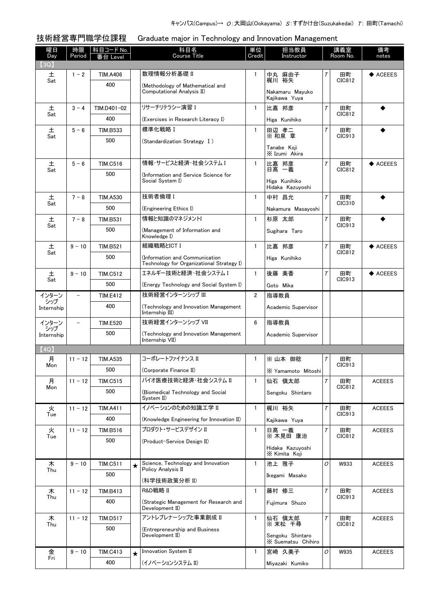技術経営専門職学位課程 Graduate major in Technology and Innovation Management

| 曜日                | 時限                       | 科目コード No.       | 科目名<br><b>Course Title</b>                                                  | 単位             | 担当教員                                   |        | 講義室<br>Room No. | 備考            |
|-------------------|--------------------------|-----------------|-----------------------------------------------------------------------------|----------------|----------------------------------------|--------|-----------------|---------------|
| Day<br>【3Q】       | Period                   | s台 Level        |                                                                             | Credit         | Instructor                             |        |                 | notes         |
| 土                 | $1 - 2$                  | TIM.A406        | 数理情報分析基礎 II                                                                 | 1              | 中丸 麻由子                                 | Τ      | 田町              | ◆ ACEEES      |
| Sat               |                          | 400             | (Methodology of Mathematical and                                            |                | 梶川 裕矢                                  |        | CIC812          |               |
|                   |                          |                 | Computational Analysis II)                                                  |                | Nakamaru Mayuko<br>Kajikawa Yuya       |        |                 |               |
| 土                 | $3 - 4$                  | TIM.D401-02     | リサーチリテラシー演習 I                                                               | $\mathbf{1}$   | 比嘉 邦彦                                  | $\tau$ | 田町              |               |
| Sat               |                          | 400             | (Exercises in Research Literacy I)                                          |                | Higa Kunihiko                          |        | CIC812          |               |
| 土                 | $5 - 6$                  | <b>TIM.B533</b> | 標準化戦略 I                                                                     | $\mathbf{1}$   | 田辺 孝二<br>※ 和泉 章                        | Τ      | 田町              |               |
| Sat               |                          | 500             | (Standardization Strategy I)                                                |                |                                        |        | CIC913          |               |
|                   |                          |                 |                                                                             |                | Tanabe Koii<br>X Izumi Akira           |        |                 |               |
| 土<br>Sat          | $5 - 6$                  | <b>TIM.C516</b> | 情報・サービスと経済・社会システム I                                                         | $\mathbf{1}$   | 比嘉 邦彦<br>日髙 一義                         | $\tau$ | 田町<br>CIC812    | ◆ ACEEES      |
|                   |                          | 500             | (Information and Service Science for<br>Social System I)                    |                |                                        |        |                 |               |
|                   |                          |                 |                                                                             |                | Higa Kunihiko<br>Hidaka Kazuyoshi      |        |                 |               |
| 土<br>Sat          | $7 - 8$                  | <b>TIM.A530</b> | 技術者倫理 I                                                                     | $\mathbf{1}$   | 中村 昌允                                  | $\tau$ | 田町<br>CIC310    |               |
|                   |                          | 500             | (Engineering Ethics I)                                                      |                | Nakamura Masayoshi                     |        |                 |               |
| 土<br>Sat          | $7 - 8$                  | <b>TIM.B531</b> | 情報と知識のマネジメントI                                                               | $\mathbf{1}$   | 杉原 太郎                                  | $\tau$ | 田町<br>CIC913    |               |
|                   |                          | 500             | (Management of Information and<br>Knowledge I)                              |                | Sugihara Taro                          |        |                 |               |
| 土                 | $9 - 10$                 | <b>TIM.B521</b> | 組織戦略とICT I                                                                  | $\mathbf{1}$   | 比嘉 邦彦                                  | Τ      | 田町<br>CIC812    | ◆ ACEEES      |
| Sat               |                          | 500             | (Information and Communication<br>Technology for Organizational Strategy I) |                | Higa Kunihiko                          |        |                 |               |
| 土                 | $9 - 10$                 | <b>TIM.C512</b> | エネルギー技術と経済・社会システム I                                                         | $\mathbf{1}$   | 後藤 美香                                  | $\tau$ | 田町              | ◆ ACEEES      |
| Sat               |                          | 500             | (Energy Technology and Social System I)                                     |                | Goto Mika                              |        | CIC913          |               |
| インターン<br>シップ      |                          | <b>TIM.E412</b> | 技術経営インターンシップ III                                                            | $\overline{2}$ | 指導教員                                   |        |                 |               |
| Internship        |                          | 400             | (Technology and Innovation Management)<br>Internship III)                   |                | Academic Supervisor                    |        |                 |               |
| インターン             | $\overline{\phantom{0}}$ | <b>TIM.E520</b> | 技術経営インターンシップ VII                                                            | 6              | 指導教員                                   |        |                 |               |
| シップ<br>Internship |                          | 500             | (Technology and Innovation Management                                       |                | Academic Supervisor                    |        |                 |               |
| (4Q)              |                          |                 | Internship VII)                                                             |                |                                        |        |                 |               |
| 月                 | $11 - 12$                | <b>TIM.A535</b> | コーポレートファイナンス II                                                             | $\mathbf{1}$   | ※山本 御稔                                 | Т      | 田町              |               |
| Mon               |                          | 500             | (Corporate Finance II)                                                      |                | X Yamamoto Mitoshi                     |        | CIC913          |               |
| 月                 | $11 - 12$                | <b>TIM.C515</b> | バイオ医療技術と経済・社会システム Ⅱ                                                         | $\mathbf{1}$   | 仙石 愼太郎                                 | $\tau$ | 田町              | <b>ACEEES</b> |
| Mon               |                          | 500             | (Biomedical Technology and Social<br>System II)                             |                | Sengoku Shintaro                       |        | CIC812          |               |
| 火                 | $11 - 12$                | <b>TIM.A411</b> | イノベーションのための知識工学 II                                                          | 1              | 梶川 裕矢                                  | $\tau$ | 田町              | <b>ACEEES</b> |
| Tue               |                          | 400             | (Knowledge Engineering for Innovation II)                                   |                | Kajikawa Yuya                          |        | CIC913          |               |
| 火                 | $11 - 12$                | TIM.B516        | プロダクト・サービスデザイン Ⅱ                                                            | $\mathbf{1}$   | 日髙 一義                                  | Τ      | 田町              | <b>ACEEES</b> |
| Tue               |                          | 500             | (Product-Service Design II)                                                 |                | ※ 木見田 康治                               |        | CIC812          |               |
|                   |                          |                 |                                                                             |                | Hidaka Kazuyoshi<br>X Kimita Koji      |        |                 |               |
| 木                 | $9 - 10$                 | <b>TIM.C511</b> | Science, Technology and Innovation<br>Policy Analysis II                    | $\mathbf{1}$   | 池上 雅子                                  | O      | W933            | <b>ACEEES</b> |
| Thu               |                          | 500             | (科学技術政策分析 II)                                                               |                | Ikegami Masako                         |        |                 |               |
| 木                 | $11 - 12$                | <b>TIM.B413</b> | R&D戦略 II                                                                    | $\mathbf{1}$   | 藤村 修三                                  | Τ      | 田町              | <b>ACEEES</b> |
| Thu               |                          | 400             | (Strategic Management for Research and                                      |                | Fujimura Shuzo                         |        | CIC913          |               |
| 木                 | $11 - 12$                | <b>TIM.D517</b> | Development II)<br>アントレプレナーシップと事業創成 II                                      | $\mathbf{1}$   | 仙石 愼太郎                                 | $\tau$ | 田町              | <b>ACEEES</b> |
| Thu               |                          | 500             | (Entrepreneurship and Business                                              |                | ※ 末松 千尋                                |        | CIC812          |               |
|                   |                          |                 | Development II)                                                             |                | Sengoku Shintaro<br>X Suematsu Chihiro |        |                 |               |
| 金                 | $9 - 10$                 | <b>TIM.C413</b> | Innovation System II                                                        | $\mathbf{1}$   | 宮崎 久美子                                 | 0      | W935            | <b>ACEEES</b> |
| Fri               |                          | 400             | (イノベーションシステム II)                                                            |                | Miyazaki Kumiko                        |        |                 |               |